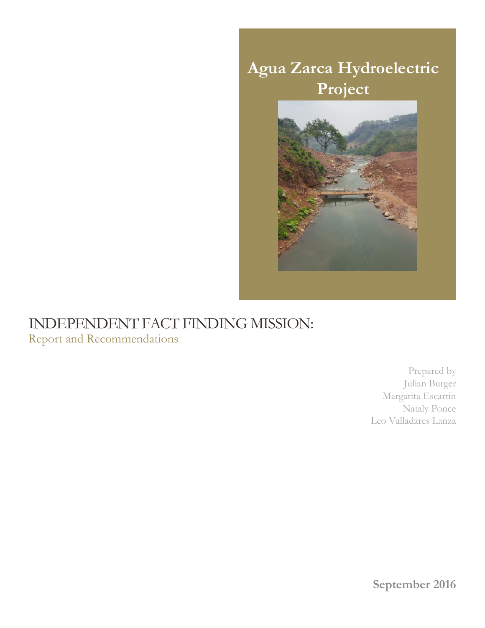

## INDEPENDENT FACT FINDING MISSION: Report and Recommendations

Prepared by Julian Burger Margarita Escartin Nataly Ponce Leo Valladares Lanza

**September 2016**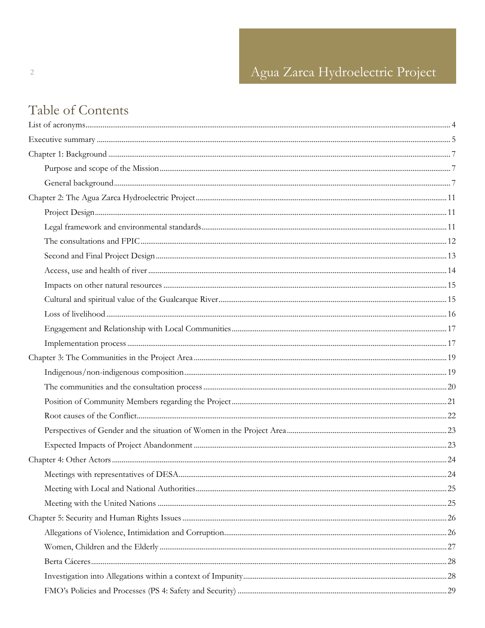# Table of Contents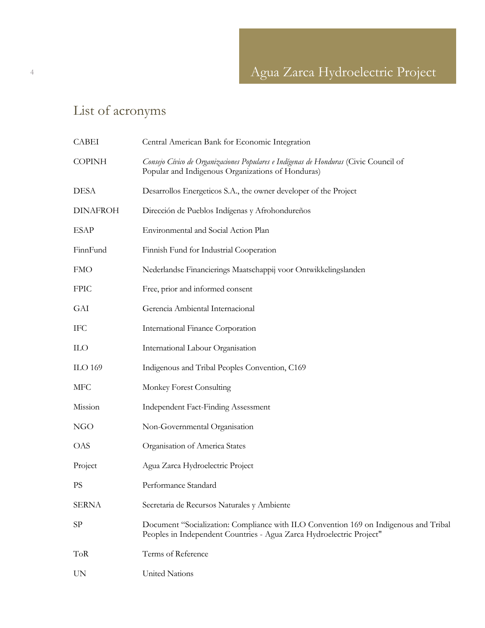# <span id="page-3-0"></span>List of acronyms

| <b>CABEI</b>    | Central American Bank for Economic Integration                                                                                                               |
|-----------------|--------------------------------------------------------------------------------------------------------------------------------------------------------------|
| <b>COPINH</b>   | Consejo Cívico de Organizaciones Populares e Indígenas de Honduras (Civic Council of<br>Popular and Indigenous Organizations of Honduras)                    |
| <b>DESA</b>     | Desarrollos Energeticos S.A., the owner developer of the Project                                                                                             |
| <b>DINAFROH</b> | Dirección de Pueblos Indígenas y Afrohondureños                                                                                                              |
| <b>ESAP</b>     | Environmental and Social Action Plan                                                                                                                         |
| FinnFund        | Finnish Fund for Industrial Cooperation                                                                                                                      |
| <b>FMO</b>      | Nederlandse Financierings Maatschappij voor Ontwikkelingslanden                                                                                              |
| <b>FPIC</b>     | Free, prior and informed consent                                                                                                                             |
| <b>GAI</b>      | Gerencia Ambiental Internacional                                                                                                                             |
| <b>IFC</b>      | International Finance Corporation                                                                                                                            |
| <b>ILO</b>      | International Labour Organisation                                                                                                                            |
| <b>ILO 169</b>  | Indigenous and Tribal Peoples Convention, C169                                                                                                               |
| <b>MFC</b>      | Monkey Forest Consulting                                                                                                                                     |
| Mission         | <b>Independent Fact-Finding Assessment</b>                                                                                                                   |
| NGO             | Non-Governmental Organisation                                                                                                                                |
| <b>OAS</b>      | Organisation of America States                                                                                                                               |
| Project         | Agua Zarca Hydroelectric Project                                                                                                                             |
| <b>PS</b>       | Performance Standard                                                                                                                                         |
| <b>SERNA</b>    | Secretaria de Recursos Naturales y Ambiente                                                                                                                  |
| SP              | Document "Socialization: Compliance with ILO Convention 169 on Indigenous and Tribal<br>Peoples in Independent Countries - Agua Zarca Hydroelectric Project" |
| <b>ToR</b>      | Terms of Reference                                                                                                                                           |
| UN              | <b>United Nations</b>                                                                                                                                        |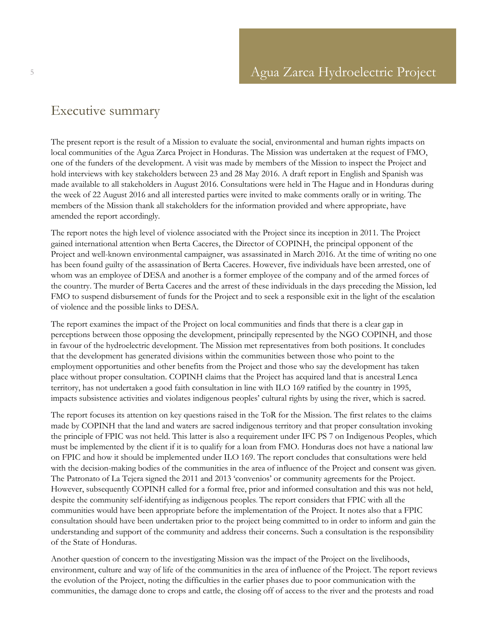## <span id="page-4-0"></span>Executive summary

The present report is the result of a Mission to evaluate the social, environmental and human rights impacts on local communities of the Agua Zarca Project in Honduras. The Mission was undertaken at the request of FMO, one of the funders of the development. A visit was made by members of the Mission to inspect the Project and hold interviews with key stakeholders between 23 and 28 May 2016. A draft report in English and Spanish was made available to all stakeholders in August 2016. Consultations were held in The Hague and in Honduras during the week of 22 August 2016 and all interested parties were invited to make comments orally or in writing. The members of the Mission thank all stakeholders for the information provided and where appropriate, have amended the report accordingly.

The report notes the high level of violence associated with the Project since its inception in 2011. The Project gained international attention when Berta Caceres, the Director of COPINH, the principal opponent of the Project and well-known environmental campaigner, was assassinated in March 2016. At the time of writing no one has been found guilty of the assassination of Berta Caceres. However, five individuals have been arrested, one of whom was an employee of DESA and another is a former employee of the company and of the armed forces of the country. The murder of Berta Caceres and the arrest of these individuals in the days preceding the Mission, led FMO to suspend disbursement of funds for the Project and to seek a responsible exit in the light of the escalation of violence and the possible links to DESA.

The report examines the impact of the Project on local communities and finds that there is a clear gap in perceptions between those opposing the development, principally represented by the NGO COPINH, and those in favour of the hydroelectric development. The Mission met representatives from both positions. It concludes that the development has generated divisions within the communities between those who point to the employment opportunities and other benefits from the Project and those who say the development has taken place without proper consultation. COPINH claims that the Project has acquired land that is ancestral Lenca territory, has not undertaken a good faith consultation in line with ILO 169 ratified by the country in 1995, impacts subsistence activities and violates indigenous peoples' cultural rights by using the river, which is sacred.

The report focuses its attention on key questions raised in the ToR for the Mission. The first relates to the claims made by COPINH that the land and waters are sacred indigenous territory and that proper consultation invoking the principle of FPIC was not held. This latter is also a requirement under IFC PS 7 on Indigenous Peoples, which must be implemented by the client if it is to qualify for a loan from FMO. Honduras does not have a national law on FPIC and how it should be implemented under ILO 169. The report concludes that consultations were held with the decision-making bodies of the communities in the area of influence of the Project and consent was given. The Patronato of La Tejera signed the 2011 and 2013 'convenios' or community agreements for the Project. However, subsequently COPINH called for a formal free, prior and informed consultation and this was not held, despite the community self-identifying as indigenous peoples. The report considers that FPIC with all the communities would have been appropriate before the implementation of the Project. It notes also that a FPIC consultation should have been undertaken prior to the project being committed to in order to inform and gain the understanding and support of the community and address their concerns. Such a consultation is the responsibility of the State of Honduras.

Another question of concern to the investigating Mission was the impact of the Project on the livelihoods, environment, culture and way of life of the communities in the area of influence of the Project. The report reviews the evolution of the Project, noting the difficulties in the earlier phases due to poor communication with the communities, the damage done to crops and cattle, the closing off of access to the river and the protests and road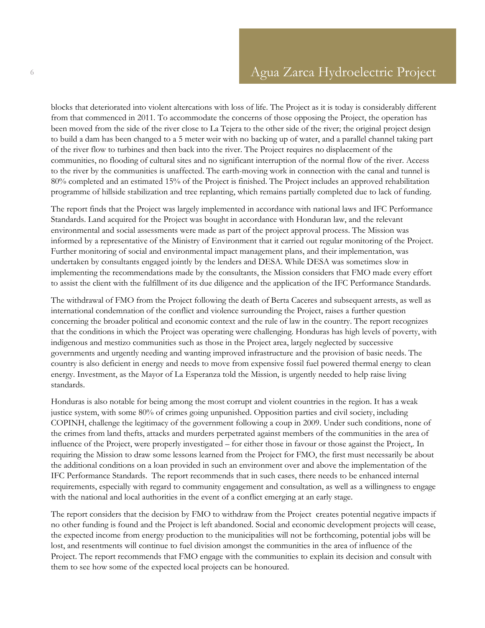blocks that deteriorated into violent altercations with loss of life. The Project as it is today is considerably different from that commenced in 2011. To accommodate the concerns of those opposing the Project, the operation has been moved from the side of the river close to La Tejera to the other side of the river; the original project design to build a dam has been changed to a 5 meter weir with no backing up of water, and a parallel channel taking part of the river flow to turbines and then back into the river. The Project requires no displacement of the communities, no flooding of cultural sites and no significant interruption of the normal flow of the river. Access to the river by the communities is unaffected. The earth-moving work in connection with the canal and tunnel is 80% completed and an estimated 15% of the Project is finished. The Project includes an approved rehabilitation programme of hillside stabilization and tree replanting, which remains partially completed due to lack of funding.

The report finds that the Project was largely implemented in accordance with national laws and IFC Performance Standards. Land acquired for the Project was bought in accordance with Honduran law, and the relevant environmental and social assessments were made as part of the project approval process. The Mission was informed by a representative of the Ministry of Environment that it carried out regular monitoring of the Project. Further monitoring of social and environmental impact management plans, and their implementation, was undertaken by consultants engaged jointly by the lenders and DESA. While DESA was sometimes slow in implementing the recommendations made by the consultants, the Mission considers that FMO made every effort to assist the client with the fulfillment of its due diligence and the application of the IFC Performance Standards.

The withdrawal of FMO from the Project following the death of Berta Caceres and subsequent arrests, as well as international condemnation of the conflict and violence surrounding the Project, raises a further question concerning the broader political and economic context and the rule of law in the country. The report recognizes that the conditions in which the Project was operating were challenging. Honduras has high levels of poverty, with indigenous and mestizo communities such as those in the Project area, largely neglected by successive governments and urgently needing and wanting improved infrastructure and the provision of basic needs. The country is also deficient in energy and needs to move from expensive fossil fuel powered thermal energy to clean energy. Investment, as the Mayor of La Esperanza told the Mission, is urgently needed to help raise living standards.

Honduras is also notable for being among the most corrupt and violent countries in the region. It has a weak justice system, with some 80% of crimes going unpunished. Opposition parties and civil society, including COPINH, challenge the legitimacy of the government following a coup in 2009. Under such conditions, none of the crimes from land thefts, attacks and murders perpetrated against members of the communities in the area of influence of the Project, were properly investigated – for either those in favour or those against the Project,. In requiring the Mission to draw some lessons learned from the Project for FMO, the first must necessarily be about the additional conditions on a loan provided in such an environment over and above the implementation of the IFC Performance Standards. The report recommends that in such cases, there needs to be enhanced internal requirements, especially with regard to community engagement and consultation, as well as a willingness to engage with the national and local authorities in the event of a conflict emerging at an early stage.

The report considers that the decision by FMO to withdraw from the Project creates potential negative impacts if no other funding is found and the Project is left abandoned. Social and economic development projects will cease, the expected income from energy production to the municipalities will not be forthcoming, potential jobs will be lost, and resentments will continue to fuel division amongst the communities in the area of influence of the Project. The report recommends that FMO engage with the communities to explain its decision and consult with them to see how some of the expected local projects can be honoured.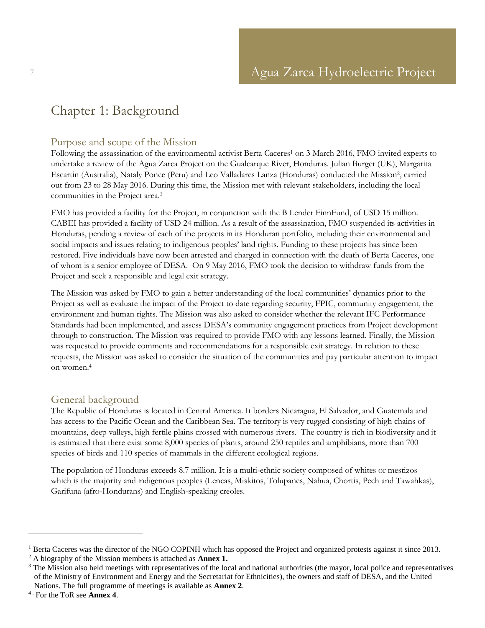## <span id="page-6-0"></span>Chapter 1: Background

### <span id="page-6-1"></span>Purpose and scope of the Mission

Following the assassination of the environmental activist Berta Caceres<sup>1</sup> on 3 March 2016, FMO invited experts to undertake a review of the Agua Zarca Project on the Gualcarque River, Honduras. Julian Burger (UK), Margarita Escartin (Australia), Nataly Ponce (Peru) and Leo Valladares Lanza (Honduras) conducted the Mission<sup>2</sup>, carried out from 23 to 28 May 2016. During this time, the Mission met with relevant stakeholders, including the local communities in the Project area.<sup>3</sup>

FMO has provided a facility for the Project, in conjunction with the B Lender FinnFund, of USD 15 million. CABEI has provided a facility of USD 24 million. As a result of the assassination, FMO suspended its activities in Honduras, pending a review of each of the projects in its Honduran portfolio, including their environmental and social impacts and issues relating to indigenous peoples' land rights. Funding to these projects has since been restored. Five individuals have now been arrested and charged in connection with the death of Berta Caceres, one of whom is a senior employee of DESA. On 9 May 2016, FMO took the decision to withdraw funds from the Project and seek a responsible and legal exit strategy.

The Mission was asked by FMO to gain a better understanding of the local communities' dynamics prior to the Project as well as evaluate the impact of the Project to date regarding security, FPIC, community engagement, the environment and human rights. The Mission was also asked to consider whether the relevant IFC Performance Standards had been implemented, and assess DESA's community engagement practices from Project development through to construction. The Mission was required to provide FMO with any lessons learned. Finally, the Mission was requested to provide comments and recommendations for a responsible exit strategy. In relation to these requests, the Mission was asked to consider the situation of the communities and pay particular attention to impact on women. 4

## <span id="page-6-2"></span>General background

The Republic of Honduras is located in Central America. It borders Nicaragua, El Salvador, and Guatemala and has access to the Pacific Ocean and the Caribbean Sea. The territory is very rugged consisting of high chains of mountains, deep valleys, high fertile plains crossed with numerous rivers. The country is rich in biodiversity and it is estimated that there exist some 8,000 species of plants, around 250 reptiles and amphibians, more than 700 species of birds and 110 species of mammals in the different ecological regions.

The population of Honduras exceeds 8.7 million. It is a multi-ethnic society composed of whites or mestizos which is the majority and indigenous peoples (Lencas, Miskitos, Tolupanes, Nahua, Chortis, Pech and Tawahkas), Garifuna (afro-Hondurans) and English-speaking creoles.

<sup>&</sup>lt;sup>1</sup> Berta Caceres was the director of the NGO COPINH which has opposed the Project and organized protests against it since 2013. <sup>2</sup> A biography of the Mission members is attached as **Annex 1.**

<sup>&</sup>lt;sup>3</sup> The Mission also held meetings with representatives of the local and national authorities (the mayor, local police and representatives of the Ministry of Environment and Energy and the Secretariat for Ethnicities), the owners and staff of DESA, and the United Nations. The full programme of meetings is available as **Annex 2**.

<sup>4</sup> . For the ToR see **Annex 4**.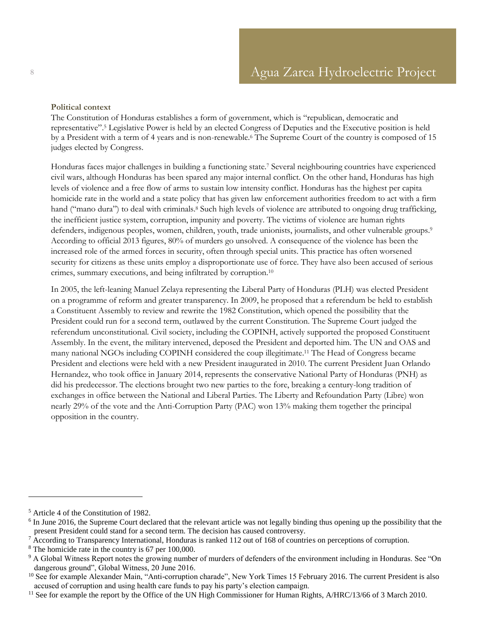#### **Political context**

The Constitution of Honduras establishes a form of government, which is "republican, democratic and representative". <sup>5</sup> Legislative Power is held by an elected Congress of Deputies and the Executive position is held by a President with a term of 4 years and is non-renewable.<sup>6</sup> The Supreme Court of the country is composed of 15 judges elected by Congress.

Honduras faces major challenges in building a functioning state.<sup>7</sup> Several neighbouring countries have experienced civil wars, although Honduras has been spared any major internal conflict. On the other hand, Honduras has high levels of violence and a free flow of arms to sustain low intensity conflict. Honduras has the highest per capita homicide rate in the world and a state policy that has given law enforcement authorities freedom to act with a firm hand ("mano dura") to deal with criminals.<sup>8</sup> Such high levels of violence are attributed to ongoing drug trafficking, the inefficient justice system, corruption, impunity and poverty. The victims of violence are human rights defenders, indigenous peoples, women, children, youth, trade unionists, journalists, and other vulnerable groups. 9 According to official 2013 figures, 80% of murders go unsolved. A consequence of the violence has been the increased role of the armed forces in security, often through special units. This practice has often worsened security for citizens as these units employ a disproportionate use of force. They have also been accused of serious crimes, summary executions, and being infiltrated by corruption.<sup>10</sup>

In 2005, the left-leaning Manuel Zelaya representing the Liberal Party of Honduras (PLH) was elected President on a programme of reform and greater transparency. In 2009, he proposed that a referendum be held to establish a Constituent Assembly to review and rewrite the 1982 Constitution, which opened the possibility that the President could run for a second term, outlawed by the current Constitution. The Supreme Court judged the referendum unconstitutional. Civil society, including the COPINH, actively supported the proposed Constituent Assembly. In the event, the military intervened, deposed the President and deported him. The UN and OAS and many national NGOs including COPINH considered the coup illegitimate. <sup>11</sup> The Head of Congress became President and elections were held with a new President inaugurated in 2010. The current President Juan Orlando Hernandez, who took office in January 2014, represents the conservative National Party of Honduras (PNH) as did his predecessor. The elections brought two new parties to the fore, breaking a century-long tradition of exchanges in office between the National and Liberal Parties. The Liberty and Refoundation Party (Libre) won nearly 29% of the vote and the Anti-Corruption Party (PAC) won 13% making them together the principal opposition in the country.

<sup>5</sup> Article 4 of the Constitution of 1982.

<sup>&</sup>lt;sup>6</sup> In June 2016, the Supreme Court declared that the relevant article was not legally binding thus opening up the possibility that the present President could stand for a second term. The decision has caused controversy.

<sup>&</sup>lt;sup>7</sup> According to Transparency International, Honduras is ranked 112 out of 168 of countries on perceptions of corruption.

<sup>8</sup> The homicide rate in the country is 67 per 100,000.

<sup>&</sup>lt;sup>9</sup> A Global Witness Report notes the growing number of murders of defenders of the environment including in Honduras. See "On dangerous ground", Global Witness, 20 June 2016.

<sup>&</sup>lt;sup>10</sup> See for example Alexander Main, "Anti-corruption charade", New York Times 15 February 2016. The current President is also accused of corruption and using health care funds to pay his party's election campaign.

<sup>&</sup>lt;sup>11</sup> See for example the report by the Office of the UN High Commissioner for Human Rights,  $A/HRC/13/66$  of 3 March 2010.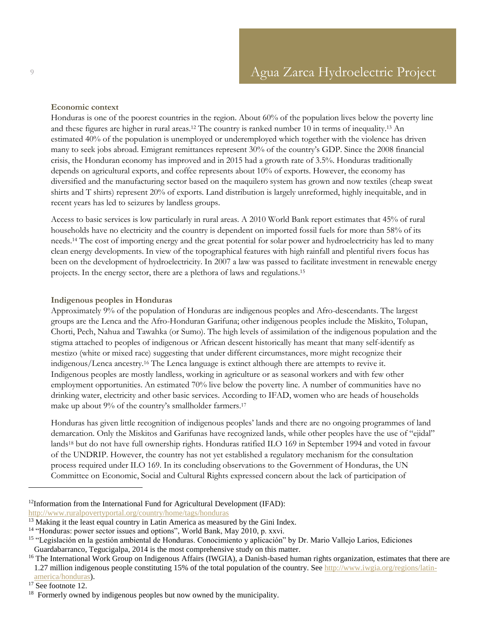#### **Economic context**

Honduras is one of the poorest countries in the region. About 60% of the population lives below the poverty line and these figures are higher in rural areas.<sup>12</sup> The country is ranked number 10 in terms of inequality. <sup>13</sup> An estimated 40% of the population is unemployed or underemployed which together with the violence has driven many to seek jobs abroad. Emigrant remittances represent 30% of the country's GDP. Since the 2008 financial crisis, the Honduran economy has improved and in 2015 had a growth rate of 3.5%. Honduras traditionally depends on agricultural exports, and coffee represents about 10% of exports. However, the economy has diversified and the manufacturing sector based on the maquilero system has grown and now textiles (cheap sweat shirts and T shirts) represent 20% of exports. Land distribution is largely unreformed, highly inequitable, and in recent years has led to seizures by landless groups.

Access to basic services is low particularly in rural areas. A 2010 World Bank report estimates that 45% of rural households have no electricity and the country is dependent on imported fossil fuels for more than 58% of its needs.<sup>14</sup> The cost of importing energy and the great potential for solar power and hydroelectricity has led to many clean energy developments. In view of the topographical features with high rainfall and plentiful rivers focus has been on the development of hydroelectricity. In 2007 a law was passed to facilitate investment in renewable energy projects. In the energy sector, there are a plethora of laws and regulations.<sup>15</sup>

#### **Indigenous peoples in Honduras**

Approximately 9% of the population of Honduras are indigenous peoples and Afro-descendants. The largest groups are the Lenca and the Afro-Honduran Garifuna; other indigenous peoples include the Miskito, Tolupan, Chorti, Pech, Nahua and Tawahka (or Sumo). The high levels of assimilation of the indigenous population and the stigma attached to peoples of indigenous or African descent historically has meant that many self-identify as mestizo (white or mixed race) suggesting that under different circumstances, more might recognize their indigenous/Lenca ancestry.<sup>16</sup> The Lenca language is extinct although there are attempts to revive it. Indigenous peoples are mostly landless, working in agriculture or as seasonal workers and with few other employment opportunities. An estimated 70% live below the poverty line. A number of communities have no drinking water, electricity and other basic services. According to IFAD, women who are heads of households make up about 9% of the country's smallholder farmers.<sup>17</sup>

Honduras has given little recognition of indigenous peoples' lands and there are no ongoing programmes of land demarcation. Only the Miskitos and Garifunas have recognized lands, while other peoples have the use of "ejidal" lands<sup>18</sup> but do not have full ownership rights. Honduras ratified ILO 169 in September 1994 and voted in favour of the UNDRIP. However, the country has not yet established a regulatory mechanism for the consultation process required under ILO 169. In its concluding observations to the Government of Honduras, the UN Committee on Economic, Social and Cultural Rights expressed concern about the lack of participation of

<sup>&</sup>lt;sup>12</sup>Information from the International Fund for Agricultural Development (IFAD):

<http://www.ruralpovertyportal.org/country/home/tags/honduras>

<sup>&</sup>lt;sup>13</sup> Making it the least equal country in Latin America as measured by the Gini Index.

<sup>&</sup>lt;sup>14</sup> "Honduras: power sector issues and options", World Bank, May 2010, p. xxvi.

<sup>&</sup>lt;sup>15</sup> "Legislación en la gestión ambiental de Honduras. Conocimiento y aplicación" by Dr. Mario Vallejo Larios, Ediciones Guardabarranco, Tegucigalpa, 2014 is the most comprehensive study on this matter.

<sup>&</sup>lt;sup>16</sup> The International Work Group on Indigenous Affairs (IWGIA), a Danish-based human rights organization, estimates that there are

<sup>1.27</sup> million indigenous people constituting 15% of the total population of the country. Se[e http://www.iwgia.org/regions/latin](http://www.iwgia.org/regions/latin-america/honduras)[america/honduras\)](http://www.iwgia.org/regions/latin-america/honduras).

 $17$  See footnote 12.

 $18$  Formerly owned by indigenous peoples but now owned by the municipality.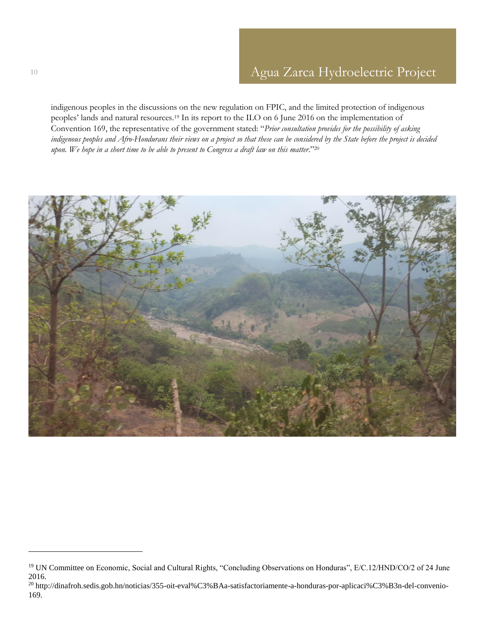indigenous peoples in the discussions on the new regulation on FPIC, and the limited protection of indigenous peoples' lands and natural resources.<sup>19</sup> In its report to the ILO on 6 June 2016 on the implementation of Convention 169, the representative of the government stated: "*Prior consultation provides for the possibility of asking indigenous peoples and Afro-Hondurans their views on a project so that these can be considered by the State before the project is decided upon. We hope in a short time to be able to present to Congress a draft law on this matter*."<sup>20</sup>



<sup>&</sup>lt;sup>19</sup> UN Committee on Economic, Social and Cultural Rights, "Concluding Observations on Honduras", E/C.12/HND/CO/2 of 24 June 2016.

<sup>20</sup> http://dinafroh.sedis.gob.hn/noticias/355-oit-eval%C3%BAa-satisfactoriamente-a-honduras-por-aplicaci%C3%B3n-del-convenio-169.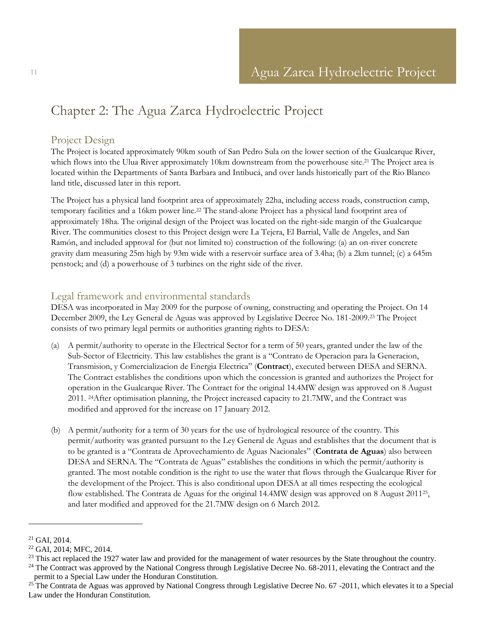## <span id="page-10-0"></span>Chapter 2: The Agua Zarca Hydroelectric Project

## <span id="page-10-1"></span>Project Design

The Project is located approximately 90km south of San Pedro Sula on the lower section of the Gualcarque River, which flows into the Ulua River approximately 10km downstream from the powerhouse site.<sup>21</sup> The Project area is located within the Departments of Santa Barbara and Intibucá, and over lands historically part of the Rio Blanco land title, discussed later in this report.

The Project has a physical land footprint area of approximately 22ha, including access roads, construction camp, temporary facilities and a 16km power line.<sup>22</sup> The stand-alone Project has a physical land footprint area of approximately 18ha. The original design of the Project was located on the right-side margin of the Gualcarque River. The communities closest to this Project design were La Tejera, El Barrial, Valle de Angeles, and San Ramón, and included approval for (but not limited to) construction of the following: (a) an on-river concrete gravity dam measuring 25m high by 93m wide with a reservoir surface area of 3.4ha; (b) a 2km tunnel; (c) a 645m penstock; and (d) a powerhouse of 3 turbines on the right side of the river.

## <span id="page-10-2"></span>Legal framework and environmental standards

DESA was incorporated in May 2009 for the purpose of owning, constructing and operating the Project. On 14 December 2009, the Ley General de Aguas was approved by Legislative Decree No. 181-2009.<sup>23</sup> The Project consists of two primary legal permits or authorities granting rights to DESA:

- (a) A permit/authority to operate in the Electrical Sector for a term of 50 years, granted under the law of the Sub-Sector of Electricity. This law establishes the grant is a "Contrato de Operacion para la Generacion, Transmision, y Comercializacion de Energia Electrica" (**Contract**), executed between DESA and SERNA. The Contract establishes the conditions upon which the concession is granted and authorizes the Project for operation in the Gualcarque River. The Contract for the original 14.4MW design was approved on 8 August 2011. 24After optimisation planning, the Project increased capacity to 21.7MW, and the Contract was modified and approved for the increase on 17 January 2012.
- (b) A permit/authority for a term of 30 years for the use of hydrological resource of the country. This permit/authority was granted pursuant to the Ley General de Aguas and establishes that the document that is to be granted is a "Contrata de Aprovechamiento de Aguas Nacionales" (**Contrata de Aguas**) also between DESA and SERNA. The "Contrata de Aguas" establishes the conditions in which the permit/authority is granted. The most notable condition is the right to use the water that flows through the Gualcarque River for the development of the Project. This is also conditional upon DESA at all times respecting the ecological flow established. The Contrata de Aguas for the original 14.4MW design was approved on 8 August 2011<sup>25</sup>, and later modified and approved for the 21.7MW design on 6 March 2012.

 $\overline{a}$ 

<sup>24</sup> The Contract was approved by the National Congress through Legislative Decree No. 68-2011, elevating the Contract and the permit to a Special Law under the Honduran Constitution.

 $21$  GAI, 2014.

<sup>22</sup> GAI, 2014; MFC, 2014.

<sup>&</sup>lt;sup>23</sup> This act replaced the 1927 water law and provided for the management of water resources by the State throughout the country.

<sup>&</sup>lt;sup>25</sup> The Contrata de Aguas was approved by National Congress through Legislative Decree No. 67 -2011, which elevates it to a Special Law under the Honduran Constitution.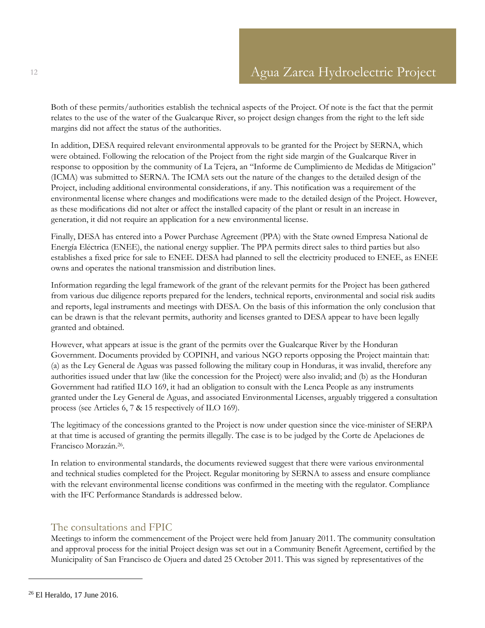Both of these permits/authorities establish the technical aspects of the Project. Of note is the fact that the permit relates to the use of the water of the Gualcarque River, so project design changes from the right to the left side margins did not affect the status of the authorities.

In addition, DESA required relevant environmental approvals to be granted for the Project by SERNA, which were obtained. Following the relocation of the Project from the right side margin of the Gualcarque River in response to opposition by the community of La Tejera, an "Informe de Cumplimiento de Medidas de Mitigacion" (ICMA) was submitted to SERNA. The ICMA sets out the nature of the changes to the detailed design of the Project, including additional environmental considerations, if any. This notification was a requirement of the environmental license where changes and modifications were made to the detailed design of the Project. However, as these modifications did not alter or affect the installed capacity of the plant or result in an increase in generation, it did not require an application for a new environmental license.

Finally, DESA has entered into a Power Purchase Agreement (PPA) with the State owned Empresa National de Energía Eléctrica (ENEE), the national energy supplier. The PPA permits direct sales to third parties but also establishes a fixed price for sale to ENEE. DESA had planned to sell the electricity produced to ENEE, as ENEE owns and operates the national transmission and distribution lines.

Information regarding the legal framework of the grant of the relevant permits for the Project has been gathered from various due diligence reports prepared for the lenders, technical reports, environmental and social risk audits and reports, legal instruments and meetings with DESA. On the basis of this information the only conclusion that can be drawn is that the relevant permits, authority and licenses granted to DESA appear to have been legally granted and obtained.

However, what appears at issue is the grant of the permits over the Gualcarque River by the Honduran Government. Documents provided by COPINH, and various NGO reports opposing the Project maintain that: (a) as the Ley General de Aguas was passed following the military coup in Honduras, it was invalid, therefore any authorities issued under that law (like the concession for the Project) were also invalid; and (b) as the Honduran Government had ratified ILO 169, it had an obligation to consult with the Lenca People as any instruments granted under the Ley General de Aguas, and associated Environmental Licenses, arguably triggered a consultation process (see Articles 6, 7 & 15 respectively of ILO 169).

The legitimacy of the concessions granted to the Project is now under question since the vice-minister of SERPA at that time is accused of granting the permits illegally. The case is to be judged by the Corte de Apelaciones de Francisco Morazán. 26 .

In relation to environmental standards, the documents reviewed suggest that there were various environmental and technical studies completed for the Project. Regular monitoring by SERNA to assess and ensure compliance with the relevant environmental license conditions was confirmed in the meeting with the regulator. Compliance with the IFC Performance Standards is addressed below.

## <span id="page-11-0"></span>The consultations and FPIC

Meetings to inform the commencement of the Project were held from January 2011. The community consultation and approval process for the initial Project design was set out in a Community Benefit Agreement, certified by the Municipality of San Francisco de Ojuera and dated 25 October 2011. This was signed by representatives of the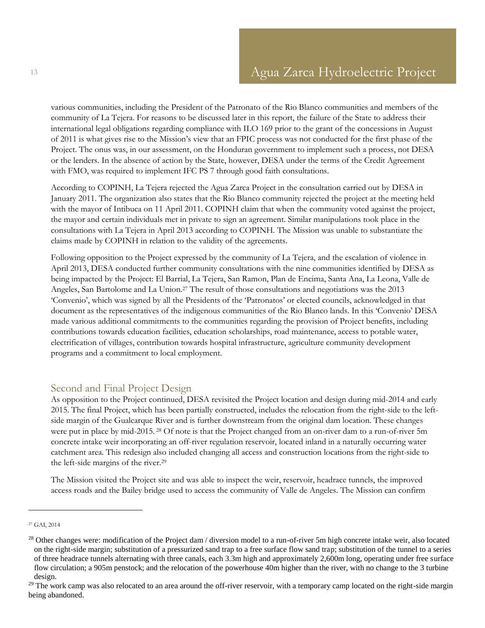various communities, including the President of the Patronato of the Rio Blanco communities and members of the community of La Tejera. For reasons to be discussed later in this report, the failure of the State to address their international legal obligations regarding compliance with ILO 169 prior to the grant of the concessions in August of 2011 is what gives rise to the Mission's view that an FPIC process was not conducted for the first phase of the Project. The onus was, in our assessment, on the Honduran government to implement such a process, not DESA or the lenders. In the absence of action by the State, however, DESA under the terms of the Credit Agreement with FMO, was required to implement IFC PS 7 through good faith consultations.

According to COPINH, La Tejera rejected the Agua Zarca Project in the consultation carried out by DESA in January 2011. The organization also states that the Rio Blanco community rejected the project at the meeting held with the mayor of Intibuca on 11 April 2011. COPINH claim that when the community voted against the project, the mayor and certain individuals met in private to sign an agreement. Similar manipulations took place in the consultations with La Tejera in April 2013 according to COPINH. The Mission was unable to substantiate the claims made by COPINH in relation to the validity of the agreements.

Following opposition to the Project expressed by the community of La Tejera, and the escalation of violence in April 2013, DESA conducted further community consultations with the nine communities identified by DESA as being impacted by the Project: El Barrial, La Tejera, San Ramon, Plan de Encima, Santa Ana, La Leona, Valle de Angeles, San Bartolome and La Union.<sup>27</sup> The result of those consultations and negotiations was the 2013 'Convenio', which was signed by all the Presidents of the 'Patronatos' or elected councils, acknowledged in that document as the representatives of the indigenous communities of the Rio Blanco lands. In this 'Convenio' DESA made various additional commitments to the communities regarding the provision of Project benefits, including contributions towards education facilities, education scholarships, road maintenance, access to potable water, electrification of villages, contribution towards hospital infrastructure, agriculture community development programs and a commitment to local employment.

### <span id="page-12-0"></span>Second and Final Project Design

As opposition to the Project continued, DESA revisited the Project location and design during mid-2014 and early 2015. The final Project, which has been partially constructed, includes the relocation from the right-side to the leftside margin of the Gualcarque River and is further downstream from the original dam location. These changes were put in place by mid-2015. <sup>28</sup> Of note is that the Project changed from an on-river dam to a run-of-river 5m concrete intake weir incorporating an off-river regulation reservoir, located inland in a naturally occurring water catchment area. This redesign also included changing all access and construction locations from the right-side to the left-side margins of the river.<sup>29</sup>

The Mission visited the Project site and was able to inspect the weir, reservoir, headrace tunnels, the improved access roads and the Bailey bridge used to access the community of Valle de Angeles. The Mission can confirm

<sup>27</sup> GAI, 2014

<sup>&</sup>lt;sup>28</sup> Other changes were: modification of the Project dam / diversion model to a run-of-river 5m high concrete intake weir, also located on the right-side margin; substitution of a pressurized sand trap to a free surface flow sand trap; substitution of the tunnel to a series of three headrace tunnels alternating with three canals, each 3.3m high and approximately 2,600m long, operating under free surface flow circulation; a 905m penstock; and the relocation of the powerhouse 40m higher than the river, with no change to the 3 turbine design.

 $^{29}$  The work camp was also relocated to an area around the off-river reservoir, with a temporary camp located on the right-side margin being abandoned.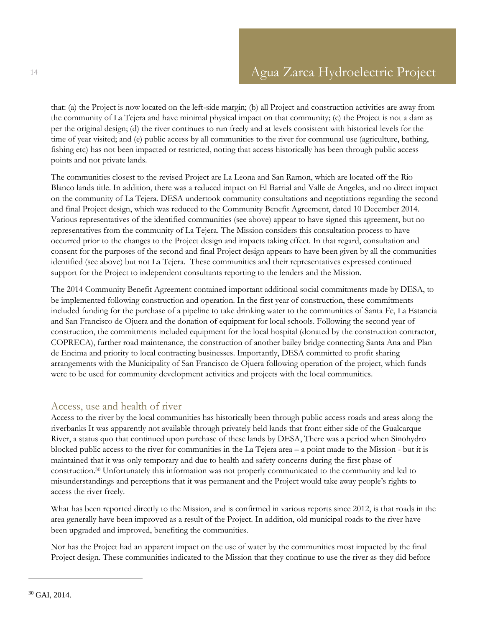that: (a) the Project is now located on the left-side margin; (b) all Project and construction activities are away from the community of La Tejera and have minimal physical impact on that community; (c) the Project is not a dam as per the original design; (d) the river continues to run freely and at levels consistent with historical levels for the time of year visited; and (e) public access by all communities to the river for communal use (agriculture, bathing, fishing etc) has not been impacted or restricted, noting that access historically has been through public access points and not private lands.

The communities closest to the revised Project are La Leona and San Ramon, which are located off the Rio Blanco lands title. In addition, there was a reduced impact on El Barrial and Valle de Angeles, and no direct impact on the community of La Tejera. DESA undertook community consultations and negotiations regarding the second and final Project design, which was reduced to the Community Benefit Agreement, dated 10 December 2014. Various representatives of the identified communities (see above) appear to have signed this agreement, but no representatives from the community of La Tejera. The Mission considers this consultation process to have occurred prior to the changes to the Project design and impacts taking effect. In that regard, consultation and consent for the purposes of the second and final Project design appears to have been given by all the communities identified (see above) but not La Tejera. These communities and their representatives expressed continued support for the Project to independent consultants reporting to the lenders and the Mission.

The 2014 Community Benefit Agreement contained important additional social commitments made by DESA, to be implemented following construction and operation. In the first year of construction, these commitments included funding for the purchase of a pipeline to take drinking water to the communities of Santa Fe, La Estancia and San Francisco de Ojuera and the donation of equipment for local schools. Following the second year of construction, the commitments included equipment for the local hospital (donated by the construction contractor, COPRECA), further road maintenance, the construction of another bailey bridge connecting Santa Ana and Plan de Encima and priority to local contracting businesses. Importantly, DESA committed to profit sharing arrangements with the Municipality of San Francisco de Ojuera following operation of the project, which funds were to be used for community development activities and projects with the local communities.

### <span id="page-13-0"></span>Access, use and health of river

Access to the river by the local communities has historically been through public access roads and areas along the riverbanks It was apparently not available through privately held lands that front either side of the Gualcarque River, a status quo that continued upon purchase of these lands by DESA, There was a period when Sinohydro blocked public access to the river for communities in the La Tejera area – a point made to the Mission - but it is maintained that it was only temporary and due to health and safety concerns during the first phase of construction. <sup>30</sup> Unfortunately this information was not properly communicated to the community and led to misunderstandings and perceptions that it was permanent and the Project would take away people's rights to access the river freely.

What has been reported directly to the Mission, and is confirmed in various reports since 2012, is that roads in the area generally have been improved as a result of the Project. In addition, old municipal roads to the river have been upgraded and improved, benefiting the communities.

Nor has the Project had an apparent impact on the use of water by the communities most impacted by the final Project design. These communities indicated to the Mission that they continue to use the river as they did before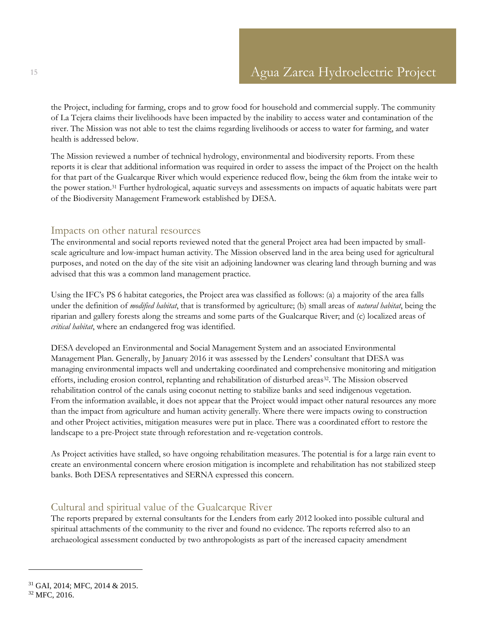the Project, including for farming, crops and to grow food for household and commercial supply. The community of La Tejera claims their livelihoods have been impacted by the inability to access water and contamination of the river. The Mission was not able to test the claims regarding livelihoods or access to water for farming, and water health is addressed below.

The Mission reviewed a number of technical hydrology, environmental and biodiversity reports. From these reports it is clear that additional information was required in order to assess the impact of the Project on the health for that part of the Gualcarque River which would experience reduced flow, being the 6km from the intake weir to the power station.<sup>31</sup> Further hydrological, aquatic surveys and assessments on impacts of aquatic habitats were part of the Biodiversity Management Framework established by DESA.

#### <span id="page-14-0"></span>Impacts on other natural resources

The environmental and social reports reviewed noted that the general Project area had been impacted by smallscale agriculture and low-impact human activity. The Mission observed land in the area being used for agricultural purposes, and noted on the day of the site visit an adjoining landowner was clearing land through burning and was advised that this was a common land management practice.

Using the IFC's PS 6 habitat categories, the Project area was classified as follows: (a) a majority of the area falls under the definition of *modified habitat*, that is transformed by agriculture; (b) small areas of *natural habitat*, being the riparian and gallery forests along the streams and some parts of the Gualcarque River; and (c) localized areas of *critical habitat*, where an endangered frog was identified.

DESA developed an Environmental and Social Management System and an associated Environmental Management Plan. Generally, by January 2016 it was assessed by the Lenders' consultant that DESA was managing environmental impacts well and undertaking coordinated and comprehensive monitoring and mitigation efforts, including erosion control, replanting and rehabilitation of disturbed areas<sup>32</sup>. The Mission observed rehabilitation control of the canals using coconut netting to stabilize banks and seed indigenous vegetation. From the information available, it does not appear that the Project would impact other natural resources any more than the impact from agriculture and human activity generally. Where there were impacts owing to construction and other Project activities, mitigation measures were put in place. There was a coordinated effort to restore the landscape to a pre-Project state through reforestation and re-vegetation controls.

As Project activities have stalled, so have ongoing rehabilitation measures. The potential is for a large rain event to create an environmental concern where erosion mitigation is incomplete and rehabilitation has not stabilized steep banks. Both DESA representatives and SERNA expressed this concern.

## <span id="page-14-1"></span>Cultural and spiritual value of the Gualcarque River

The reports prepared by external consultants for the Lenders from early 2012 looked into possible cultural and spiritual attachments of the community to the river and found no evidence. The reports referred also to an archaeological assessment conducted by two anthropologists as part of the increased capacity amendment

<sup>31</sup> GAI, 2014; MFC, 2014 & 2015. <sup>32</sup> MFC, 2016.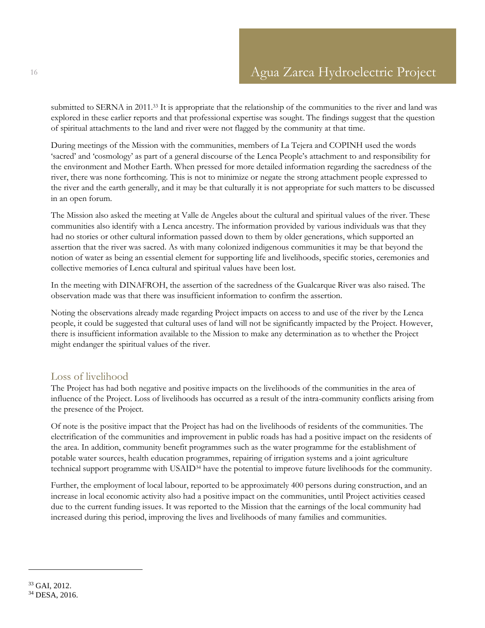submitted to SERNA in 2011.<sup>33</sup> It is appropriate that the relationship of the communities to the river and land was explored in these earlier reports and that professional expertise was sought. The findings suggest that the question of spiritual attachments to the land and river were not flagged by the community at that time.

During meetings of the Mission with the communities, members of La Tejera and COPINH used the words 'sacred' and 'cosmology' as part of a general discourse of the Lenca People's attachment to and responsibility for the environment and Mother Earth. When pressed for more detailed information regarding the sacredness of the river, there was none forthcoming. This is not to minimize or negate the strong attachment people expressed to the river and the earth generally, and it may be that culturally it is not appropriate for such matters to be discussed in an open forum.

The Mission also asked the meeting at Valle de Angeles about the cultural and spiritual values of the river. These communities also identify with a Lenca ancestry. The information provided by various individuals was that they had no stories or other cultural information passed down to them by older generations, which supported an assertion that the river was sacred. As with many colonized indigenous communities it may be that beyond the notion of water as being an essential element for supporting life and livelihoods, specific stories, ceremonies and collective memories of Lenca cultural and spiritual values have been lost.

In the meeting with DINAFROH, the assertion of the sacredness of the Gualcarque River was also raised. The observation made was that there was insufficient information to confirm the assertion.

Noting the observations already made regarding Project impacts on access to and use of the river by the Lenca people, it could be suggested that cultural uses of land will not be significantly impacted by the Project. However, there is insufficient information available to the Mission to make any determination as to whether the Project might endanger the spiritual values of the river.

### <span id="page-15-0"></span>Loss of livelihood

The Project has had both negative and positive impacts on the livelihoods of the communities in the area of influence of the Project. Loss of livelihoods has occurred as a result of the intra-community conflicts arising from the presence of the Project.

Of note is the positive impact that the Project has had on the livelihoods of residents of the communities. The electrification of the communities and improvement in public roads has had a positive impact on the residents of the area. In addition, community benefit programmes such as the water programme for the establishment of potable water sources, health education programmes, repairing of irrigation systems and a joint agriculture technical support programme with USAID<sup>34</sup> have the potential to improve future livelihoods for the community.

Further, the employment of local labour, reported to be approximately 400 persons during construction, and an increase in local economic activity also had a positive impact on the communities, until Project activities ceased due to the current funding issues. It was reported to the Mission that the earnings of the local community had increased during this period, improving the lives and livelihoods of many families and communities.

<sup>33</sup> GAI, 2012. <sup>34</sup> DESA, 2016.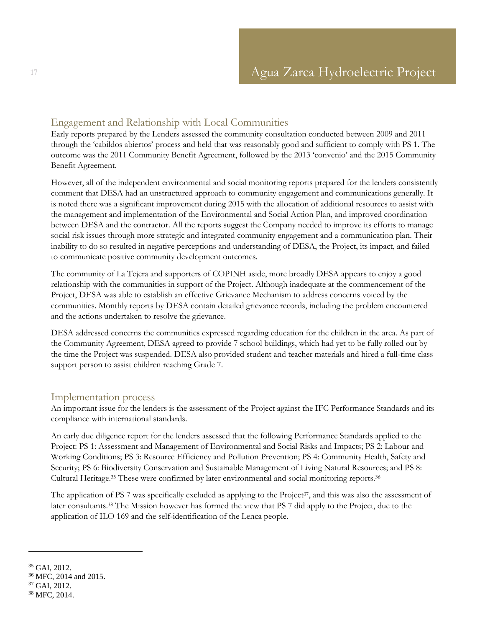### <span id="page-16-0"></span>Engagement and Relationship with Local Communities

Early reports prepared by the Lenders assessed the community consultation conducted between 2009 and 2011 through the 'cabildos abiertos' process and held that was reasonably good and sufficient to comply with PS 1. The outcome was the 2011 Community Benefit Agreement, followed by the 2013 'convenio' and the 2015 Community Benefit Agreement.

However, all of the independent environmental and social monitoring reports prepared for the lenders consistently comment that DESA had an unstructured approach to community engagement and communications generally. It is noted there was a significant improvement during 2015 with the allocation of additional resources to assist with the management and implementation of the Environmental and Social Action Plan, and improved coordination between DESA and the contractor. All the reports suggest the Company needed to improve its efforts to manage social risk issues through more strategic and integrated community engagement and a communication plan. Their inability to do so resulted in negative perceptions and understanding of DESA, the Project, its impact, and failed to communicate positive community development outcomes.

The community of La Tejera and supporters of COPINH aside, more broadly DESA appears to enjoy a good relationship with the communities in support of the Project. Although inadequate at the commencement of the Project, DESA was able to establish an effective Grievance Mechanism to address concerns voiced by the communities. Monthly reports by DESA contain detailed grievance records, including the problem encountered and the actions undertaken to resolve the grievance.

DESA addressed concerns the communities expressed regarding education for the children in the area. As part of the Community Agreement, DESA agreed to provide 7 school buildings, which had yet to be fully rolled out by the time the Project was suspended. DESA also provided student and teacher materials and hired a full-time class support person to assist children reaching Grade 7.

### <span id="page-16-1"></span>Implementation process

An important issue for the lenders is the assessment of the Project against the IFC Performance Standards and its compliance with international standards.

An early due diligence report for the lenders assessed that the following Performance Standards applied to the Project: PS 1: Assessment and Management of Environmental and Social Risks and Impacts; PS 2: Labour and Working Conditions; PS 3: Resource Efficiency and Pollution Prevention; PS 4: Community Health, Safety and Security; PS 6: Biodiversity Conservation and Sustainable Management of Living Natural Resources; and PS 8: Cultural Heritage.<sup>35</sup> These were confirmed by later environmental and social monitoring reports.<sup>36</sup>

The application of PS 7 was specifically excluded as applying to the Project<sup>37</sup>, and this was also the assessment of later consultants. <sup>38</sup> The Mission however has formed the view that PS 7 did apply to the Project, due to the application of ILO 169 and the self-identification of the Lenca people.

 $35$  GAI, 2012.

<sup>36</sup> MFC, 2014 and 2015.

<sup>37</sup> GAI, 2012.

<sup>38</sup> MFC, 2014.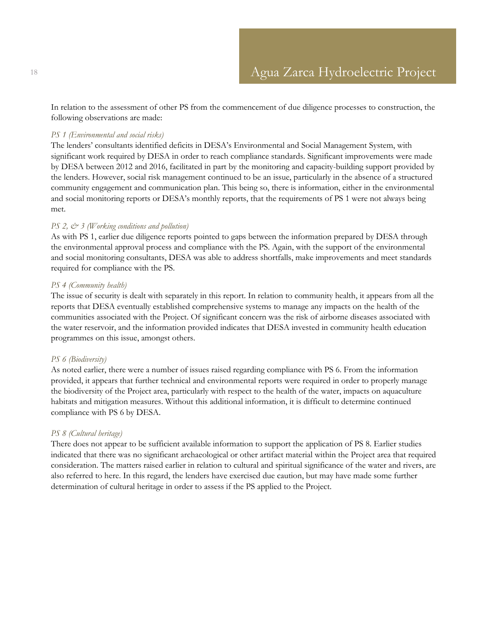In relation to the assessment of other PS from the commencement of due diligence processes to construction, the following observations are made:

#### *PS 1 (Environmental and social risks)*

The lenders' consultants identified deficits in DESA's Environmental and Social Management System, with significant work required by DESA in order to reach compliance standards. Significant improvements were made by DESA between 2012 and 2016, facilitated in part by the monitoring and capacity-building support provided by the lenders. However, social risk management continued to be an issue, particularly in the absence of a structured community engagement and communication plan. This being so, there is information, either in the environmental and social monitoring reports or DESA's monthly reports, that the requirements of PS 1 were not always being met.

#### *PS 2, & 3 (Working conditions and pollution)*

As with PS 1, earlier due diligence reports pointed to gaps between the information prepared by DESA through the environmental approval process and compliance with the PS. Again, with the support of the environmental and social monitoring consultants, DESA was able to address shortfalls, make improvements and meet standards required for compliance with the PS.

#### *PS 4 (Community health)*

The issue of security is dealt with separately in this report. In relation to community health, it appears from all the reports that DESA eventually established comprehensive systems to manage any impacts on the health of the communities associated with the Project. Of significant concern was the risk of airborne diseases associated with the water reservoir, and the information provided indicates that DESA invested in community health education programmes on this issue, amongst others.

#### *PS 6 (Biodiversity)*

As noted earlier, there were a number of issues raised regarding compliance with PS 6. From the information provided, it appears that further technical and environmental reports were required in order to properly manage the biodiversity of the Project area, particularly with respect to the health of the water, impacts on aquaculture habitats and mitigation measures. Without this additional information, it is difficult to determine continued compliance with PS 6 by DESA.

#### *PS 8 (Cultural heritage)*

There does not appear to be sufficient available information to support the application of PS 8. Earlier studies indicated that there was no significant archaeological or other artifact material within the Project area that required consideration. The matters raised earlier in relation to cultural and spiritual significance of the water and rivers, are also referred to here. In this regard, the lenders have exercised due caution, but may have made some further determination of cultural heritage in order to assess if the PS applied to the Project.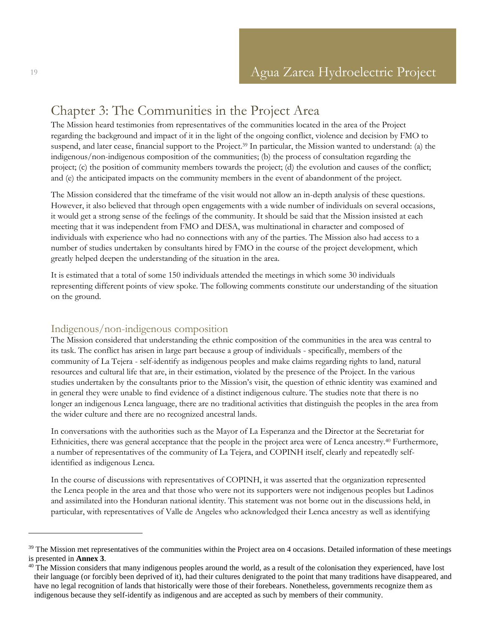## <span id="page-18-0"></span>Chapter 3: The Communities in the Project Area

The Mission heard testimonies from representatives of the communities located in the area of the Project regarding the background and impact of it in the light of the ongoing conflict, violence and decision by FMO to suspend, and later cease, financial support to the Project. <sup>39</sup> In particular, the Mission wanted to understand: (a) the indigenous/non-indigenous composition of the communities; (b) the process of consultation regarding the project; (c) the position of community members towards the project; (d) the evolution and causes of the conflict; and (e) the anticipated impacts on the community members in the event of abandonment of the project.

The Mission considered that the timeframe of the visit would not allow an in-depth analysis of these questions. However, it also believed that through open engagements with a wide number of individuals on several occasions, it would get a strong sense of the feelings of the community. It should be said that the Mission insisted at each meeting that it was independent from FMO and DESA, was multinational in character and composed of individuals with experience who had no connections with any of the parties. The Mission also had access to a number of studies undertaken by consultants hired by FMO in the course of the project development, which greatly helped deepen the understanding of the situation in the area.

It is estimated that a total of some 150 individuals attended the meetings in which some 30 individuals representing different points of view spoke. The following comments constitute our understanding of the situation on the ground.

## <span id="page-18-1"></span>Indigenous/non-indigenous composition

The Mission considered that understanding the ethnic composition of the communities in the area was central to its task. The conflict has arisen in large part because a group of individuals - specifically, members of the community of La Tejera - self-identify as indigenous peoples and make claims regarding rights to land, natural resources and cultural life that are, in their estimation, violated by the presence of the Project. In the various studies undertaken by the consultants prior to the Mission's visit, the question of ethnic identity was examined and in general they were unable to find evidence of a distinct indigenous culture. The studies note that there is no longer an indigenous Lenca language, there are no traditional activities that distinguish the peoples in the area from the wider culture and there are no recognized ancestral lands.

In conversations with the authorities such as the Mayor of La Esperanza and the Director at the Secretariat for Ethnicities, there was general acceptance that the people in the project area were of Lenca ancestry. <sup>40</sup> Furthermore, a number of representatives of the community of La Tejera, and COPINH itself, clearly and repeatedly selfidentified as indigenous Lenca.

In the course of discussions with representatives of COPINH, it was asserted that the organization represented the Lenca people in the area and that those who were not its supporters were not indigenous peoples but Ladinos and assimilated into the Honduran national identity. This statement was not borne out in the discussions held, in particular, with representatives of Valle de Angeles who acknowledged their Lenca ancestry as well as identifying

<sup>&</sup>lt;sup>39</sup> The Mission met representatives of the communities within the Project area on 4 occasions. Detailed information of these meetings is presented in **Annex 3**.

 $40$  The Mission considers that many indigenous peoples around the world, as a result of the colonisation they experienced, have lost their language (or forcibly been deprived of it), had their cultures denigrated to the point that many traditions have disappeared, and have no legal recognition of lands that historically were those of their forebears. Nonetheless, governments recognize them as indigenous because they self-identify as indigenous and are accepted as such by members of their community.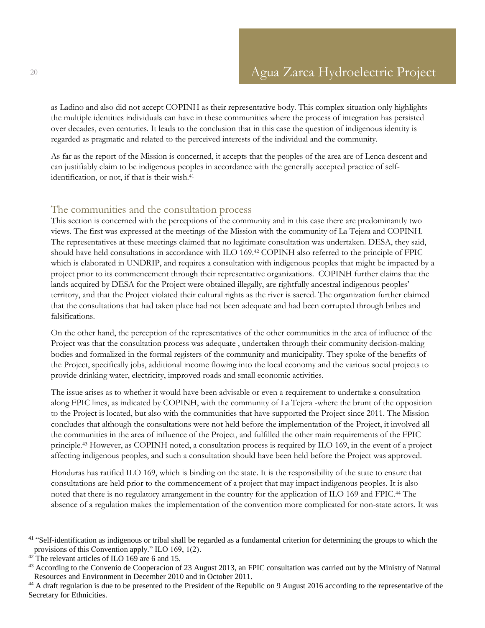as Ladino and also did not accept COPINH as their representative body. This complex situation only highlights the multiple identities individuals can have in these communities where the process of integration has persisted over decades, even centuries. It leads to the conclusion that in this case the question of indigenous identity is regarded as pragmatic and related to the perceived interests of the individual and the community.

As far as the report of the Mission is concerned, it accepts that the peoples of the area are of Lenca descent and can justifiably claim to be indigenous peoples in accordance with the generally accepted practice of selfidentification, or not, if that is their wish.<sup>41</sup>

#### <span id="page-19-0"></span>The communities and the consultation process

This section is concerned with the perceptions of the community and in this case there are predominantly two views. The first was expressed at the meetings of the Mission with the community of La Tejera and COPINH. The representatives at these meetings claimed that no legitimate consultation was undertaken. DESA, they said, should have held consultations in accordance with ILO 169.<sup>42</sup> COPINH also referred to the principle of FPIC which is elaborated in UNDRIP, and requires a consultation with indigenous peoples that might be impacted by a project prior to its commencement through their representative organizations. COPINH further claims that the lands acquired by DESA for the Project were obtained illegally, are rightfully ancestral indigenous peoples' territory, and that the Project violated their cultural rights as the river is sacred. The organization further claimed that the consultations that had taken place had not been adequate and had been corrupted through bribes and falsifications.

On the other hand, the perception of the representatives of the other communities in the area of influence of the Project was that the consultation process was adequate , undertaken through their community decision-making bodies and formalized in the formal registers of the community and municipality. They spoke of the benefits of the Project, specifically jobs, additional income flowing into the local economy and the various social projects to provide drinking water, electricity, improved roads and small economic activities.

The issue arises as to whether it would have been advisable or even a requirement to undertake a consultation along FPIC lines, as indicated by COPINH, with the community of La Tejera -where the brunt of the opposition to the Project is located, but also with the communities that have supported the Project since 2011. The Mission concludes that although the consultations were not held before the implementation of the Project, it involved all the communities in the area of influence of the Project, and fulfilled the other main requirements of the FPIC principle.<sup>43</sup> However, as COPINH noted, a consultation process is required by ILO 169, in the event of a project affecting indigenous peoples, and such a consultation should have been held before the Project was approved.

Honduras has ratified ILO 169, which is binding on the state. It is the responsibility of the state to ensure that consultations are held prior to the commencement of a project that may impact indigenous peoples. It is also noted that there is no regulatory arrangement in the country for the application of ILO 169 and FPIC.<sup>44</sup> The absence of a regulation makes the implementation of the convention more complicated for non-state actors. It was

<sup>&</sup>lt;sup>41</sup> "Self-identification as indigenous or tribal shall be regarded as a fundamental criterion for determining the groups to which the provisions of this Convention apply." ILO 169, 1(2).

<sup>&</sup>lt;sup>42</sup> The relevant articles of ILO 169 are 6 and 15.

<sup>&</sup>lt;sup>43</sup> According to the Convenio de Cooperacion of 23 August 2013, an FPIC consultation was carried out by the Ministry of Natural Resources and Environment in December 2010 and in October 2011.

<sup>&</sup>lt;sup>44</sup> A draft regulation is due to be presented to the President of the Republic on 9 August 2016 according to the representative of the Secretary for Ethnicities.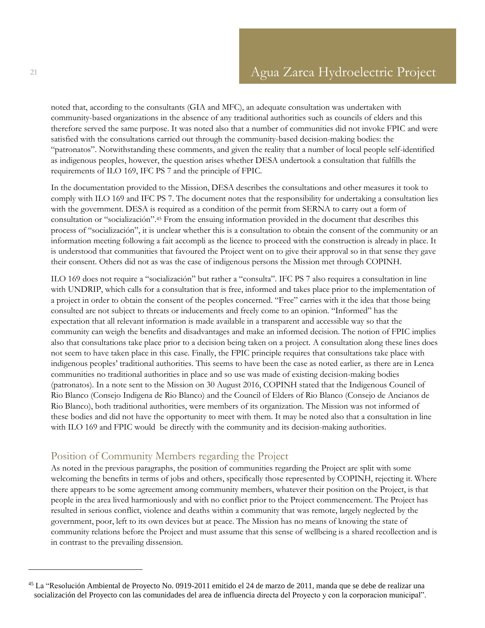noted that, according to the consultants (GIA and MFC), an adequate consultation was undertaken with community-based organizations in the absence of any traditional authorities such as councils of elders and this therefore served the same purpose. It was noted also that a number of communities did not invoke FPIC and were satisfied with the consultations carried out through the community-based decision-making bodies: the "patronatos". Notwithstanding these comments, and given the reality that a number of local people self-identified as indigenous peoples, however, the question arises whether DESA undertook a consultation that fulfills the requirements of ILO 169, IFC PS 7 and the principle of FPIC.

In the documentation provided to the Mission, DESA describes the consultations and other measures it took to comply with ILO 169 and IFC PS 7. The document notes that the responsibility for undertaking a consultation lies with the government. DESA is required as a condition of the permit from SERNA to carry out a form of consultation or "socialización".<sup>45</sup> From the ensuing information provided in the document that describes this process of "socialización", it is unclear whether this is a consultation to obtain the consent of the community or an information meeting following a fait accompli as the licence to proceed with the construction is already in place. It is understood that communities that favoured the Project went on to give their approval so in that sense they gave their consent. Others did not as was the case of indigenous persons the Mission met through COPINH.

ILO 169 does not require a "socialización" but rather a "consulta". IFC PS 7 also requires a consultation in line with UNDRIP, which calls for a consultation that is free, informed and takes place prior to the implementation of a project in order to obtain the consent of the peoples concerned. "Free" carries with it the idea that those being consulted are not subject to threats or inducements and freely come to an opinion. "Informed" has the expectation that all relevant information is made available in a transparent and accessible way so that the community can weigh the benefits and disadvantages and make an informed decision. The notion of FPIC implies also that consultations take place prior to a decision being taken on a project. A consultation along these lines does not seem to have taken place in this case. Finally, the FPIC principle requires that consultations take place with indigenous peoples' traditional authorities. This seems to have been the case as noted earlier, as there are in Lenca communities no traditional authorities in place and so use was made of existing decision-making bodies (patronatos). In a note sent to the Mission on 30 August 2016, COPINH stated that the Indigenous Council of Rio Blanco (Consejo Indigena de Rio Blanco) and the Council of Elders of Rio Blanco (Consejo de Ancianos de Rio Blanco), both traditional authorities, were members of its organization. The Mission was not informed of these bodies and did not have the opportunity to meet with them. It may be noted also that a consultation in line with ILO 169 and FPIC would be directly with the community and its decision-making authorities.

## <span id="page-20-0"></span>Position of Community Members regarding the Project

As noted in the previous paragraphs, the position of communities regarding the Project are split with some welcoming the benefits in terms of jobs and others, specifically those represented by COPINH, rejecting it. Where there appears to be some agreement among community members, whatever their position on the Project, is that people in the area lived harmoniously and with no conflict prior to the Project commencement. The Project has resulted in serious conflict, violence and deaths within a community that was remote, largely neglected by the government, poor, left to its own devices but at peace. The Mission has no means of knowing the state of community relations before the Project and must assume that this sense of wellbeing is a shared recollection and is in contrast to the prevailing dissension.

<sup>45</sup> La "Resolución Ambiental de Proyecto No. 0919-2011 emitido el 24 de marzo de 2011, manda que se debe de realizar una socialización del Proyecto con las comunidades del area de influencia directa del Proyecto y con la corporacion municipal".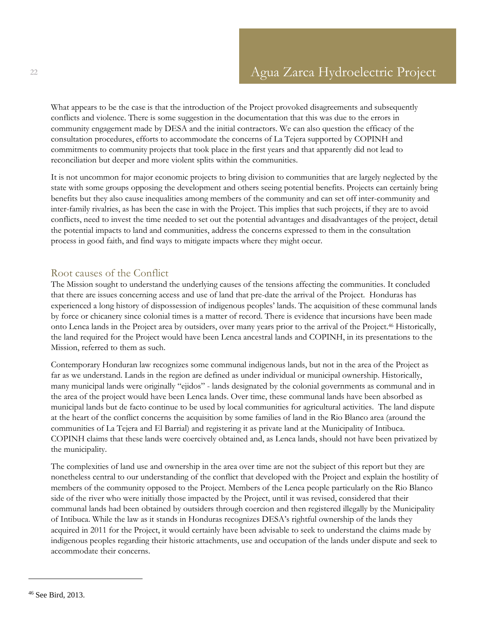What appears to be the case is that the introduction of the Project provoked disagreements and subsequently conflicts and violence. There is some suggestion in the documentation that this was due to the errors in community engagement made by DESA and the initial contractors. We can also question the efficacy of the consultation procedures, efforts to accommodate the concerns of La Tejera supported by COPINH and commitments to community projects that took place in the first years and that apparently did not lead to reconciliation but deeper and more violent splits within the communities.

It is not uncommon for major economic projects to bring division to communities that are largely neglected by the state with some groups opposing the development and others seeing potential benefits. Projects can certainly bring benefits but they also cause inequalities among members of the community and can set off inter-community and inter-family rivalries, as has been the case in with the Project. This implies that such projects, if they are to avoid conflicts, need to invest the time needed to set out the potential advantages and disadvantages of the project, detail the potential impacts to land and communities, address the concerns expressed to them in the consultation process in good faith, and find ways to mitigate impacts where they might occur.

### <span id="page-21-0"></span>Root causes of the Conflict

The Mission sought to understand the underlying causes of the tensions affecting the communities. It concluded that there are issues concerning access and use of land that pre-date the arrival of the Project. Honduras has experienced a long history of dispossession of indigenous peoples' lands. The acquisition of these communal lands by force or chicanery since colonial times is a matter of record. There is evidence that incursions have been made onto Lenca lands in the Project area by outsiders, over many years prior to the arrival of the Project.<sup>46</sup> Historically, the land required for the Project would have been Lenca ancestral lands and COPINH, in its presentations to the Mission, referred to them as such.

Contemporary Honduran law recognizes some communal indigenous lands, but not in the area of the Project as far as we understand. Lands in the region are defined as under individual or municipal ownership. Historically, many municipal lands were originally "ejidos" - lands designated by the colonial governments as communal and in the area of the project would have been Lenca lands. Over time, these communal lands have been absorbed as municipal lands but de facto continue to be used by local communities for agricultural activities. The land dispute at the heart of the conflict concerns the acquisition by some families of land in the Rio Blanco area (around the communities of La Tejera and El Barrial) and registering it as private land at the Municipality of Intibuca. COPINH claims that these lands were coercively obtained and, as Lenca lands, should not have been privatized by the municipality.

The complexities of land use and ownership in the area over time are not the subject of this report but they are nonetheless central to our understanding of the conflict that developed with the Project and explain the hostility of members of the community opposed to the Project. Members of the Lenca people particularly on the Rio Blanco side of the river who were initially those impacted by the Project, until it was revised, considered that their communal lands had been obtained by outsiders through coercion and then registered illegally by the Municipality of Intibuca. While the law as it stands in Honduras recognizes DESA's rightful ownership of the lands they acquired in 2011 for the Project, it would certainly have been advisable to seek to understand the claims made by indigenous peoples regarding their historic attachments, use and occupation of the lands under dispute and seek to accommodate their concerns.

<sup>46</sup> See Bird, 2013.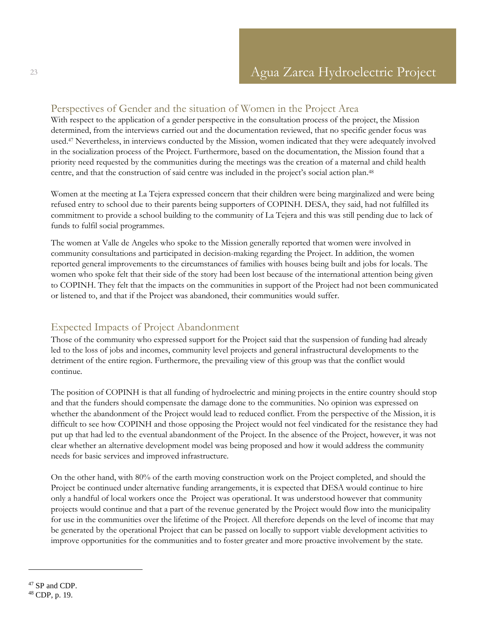## <span id="page-22-0"></span>Perspectives of Gender and the situation of Women in the Project Area

With respect to the application of a gender perspective in the consultation process of the project, the Mission determined, from the interviews carried out and the documentation reviewed, that no specific gender focus was used.<sup>47</sup> Nevertheless, in interviews conducted by the Mission, women indicated that they were adequately involved in the socialization process of the Project. Furthermore, based on the documentation, the Mission found that a priority need requested by the communities during the meetings was the creation of a maternal and child health centre, and that the construction of said centre was included in the project's social action plan. 48

Women at the meeting at La Tejera expressed concern that their children were being marginalized and were being refused entry to school due to their parents being supporters of COPINH. DESA, they said, had not fulfilled its commitment to provide a school building to the community of La Tejera and this was still pending due to lack of funds to fulfil social programmes.

The women at Valle de Angeles who spoke to the Mission generally reported that women were involved in community consultations and participated in decision-making regarding the Project. In addition, the women reported general improvements to the circumstances of families with houses being built and jobs for locals. The women who spoke felt that their side of the story had been lost because of the international attention being given to COPINH. They felt that the impacts on the communities in support of the Project had not been communicated or listened to, and that if the Project was abandoned, their communities would suffer.

## <span id="page-22-1"></span>Expected Impacts of Project Abandonment

Those of the community who expressed support for the Project said that the suspension of funding had already led to the loss of jobs and incomes, community level projects and general infrastructural developments to the detriment of the entire region. Furthermore, the prevailing view of this group was that the conflict would continue.

The position of COPINH is that all funding of hydroelectric and mining projects in the entire country should stop and that the funders should compensate the damage done to the communities. No opinion was expressed on whether the abandonment of the Project would lead to reduced conflict. From the perspective of the Mission, it is difficult to see how COPINH and those opposing the Project would not feel vindicated for the resistance they had put up that had led to the eventual abandonment of the Project. In the absence of the Project, however, it was not clear whether an alternative development model was being proposed and how it would address the community needs for basic services and improved infrastructure.

On the other hand, with 80% of the earth moving construction work on the Project completed, and should the Project be continued under alternative funding arrangements, it is expected that DESA would continue to hire only a handful of local workers once the Project was operational. It was understood however that community projects would continue and that a part of the revenue generated by the Project would flow into the municipality for use in the communities over the lifetime of the Project. All therefore depends on the level of income that may be generated by the operational Project that can be passed on locally to support viable development activities to improve opportunities for the communities and to foster greater and more proactive involvement by the state.

<sup>&</sup>lt;sup>47</sup> SP and CDP. <sup>48</sup> CDP, p. 19.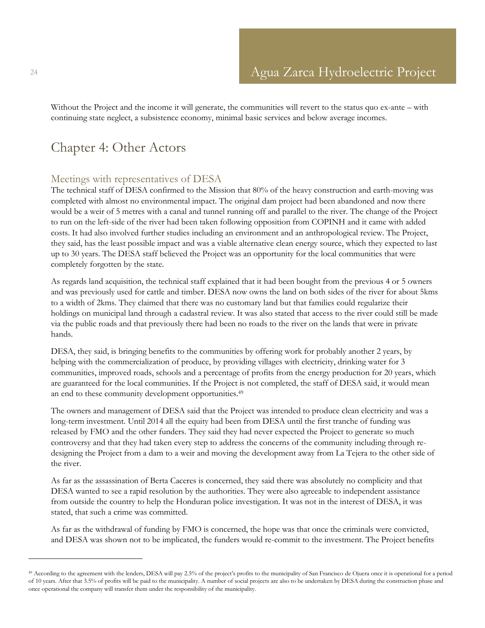Without the Project and the income it will generate, the communities will revert to the status quo ex-ante – with continuing state neglect, a subsistence economy, minimal basic services and below average incomes.

## <span id="page-23-0"></span>Chapter 4: Other Actors

### <span id="page-23-1"></span>Meetings with representatives of DESA

The technical staff of DESA confirmed to the Mission that 80% of the heavy construction and earth-moving was completed with almost no environmental impact. The original dam project had been abandoned and now there would be a weir of 5 metres with a canal and tunnel running off and parallel to the river. The change of the Project to run on the left-side of the river had been taken following opposition from COPINH and it came with added costs. It had also involved further studies including an environment and an anthropological review. The Project, they said, has the least possible impact and was a viable alternative clean energy source, which they expected to last up to 30 years. The DESA staff believed the Project was an opportunity for the local communities that were completely forgotten by the state.

As regards land acquisition, the technical staff explained that it had been bought from the previous 4 or 5 owners and was previously used for cattle and timber. DESA now owns the land on both sides of the river for about 5kms to a width of 2kms. They claimed that there was no customary land but that families could regularize their holdings on municipal land through a cadastral review. It was also stated that access to the river could still be made via the public roads and that previously there had been no roads to the river on the lands that were in private hands.

DESA, they said, is bringing benefits to the communities by offering work for probably another 2 years, by helping with the commercialization of produce, by providing villages with electricity, drinking water for 3 communities, improved roads, schools and a percentage of profits from the energy production for 20 years, which are guaranteed for the local communities. If the Project is not completed, the staff of DESA said, it would mean an end to these community development opportunities.<sup>49</sup>

The owners and management of DESA said that the Project was intended to produce clean electricity and was a long-term investment. Until 2014 all the equity had been from DESA until the first tranche of funding was released by FMO and the other funders. They said they had never expected the Project to generate so much controversy and that they had taken every step to address the concerns of the community including through redesigning the Project from a dam to a weir and moving the development away from La Tejera to the other side of the river.

As far as the assassination of Berta Caceres is concerned, they said there was absolutely no complicity and that DESA wanted to see a rapid resolution by the authorities. They were also agreeable to independent assistance from outside the country to help the Honduran police investigation. It was not in the interest of DESA, it was stated, that such a crime was committed.

As far as the withdrawal of funding by FMO is concerned, the hope was that once the criminals were convicted, and DESA was shown not to be implicated, the funders would re-commit to the investment. The Project benefits

<sup>49</sup> According to the agreement with the lenders, DESA will pay 2.5% of the project's profits to the municipality of San Francisco de Ojuera once it is operational for a period of 10 years. After that 3.5% of profits will be paid to the municipality. A number of social projects are also to be undertaken by DESA during the construction phase and once operational the company will transfer them under the responsibility of the municipality.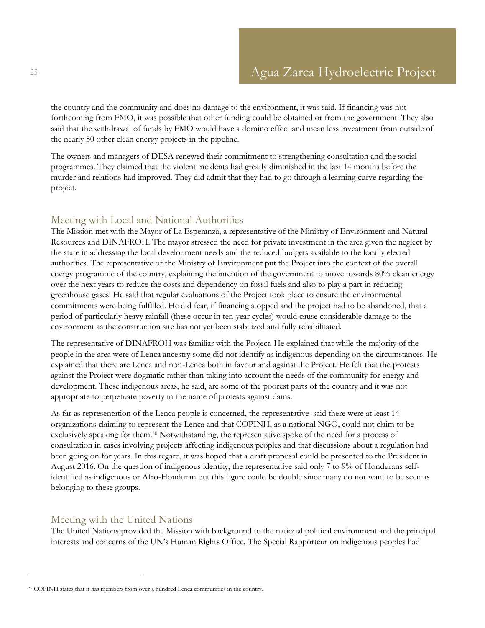the country and the community and does no damage to the environment, it was said. If financing was not forthcoming from FMO, it was possible that other funding could be obtained or from the government. They also said that the withdrawal of funds by FMO would have a domino effect and mean less investment from outside of the nearly 50 other clean energy projects in the pipeline.

The owners and managers of DESA renewed their commitment to strengthening consultation and the social programmes. They claimed that the violent incidents had greatly diminished in the last 14 months before the murder and relations had improved. They did admit that they had to go through a learning curve regarding the project.

### <span id="page-24-0"></span>Meeting with Local and National Authorities

The Mission met with the Mayor of La Esperanza, a representative of the Ministry of Environment and Natural Resources and DINAFROH. The mayor stressed the need for private investment in the area given the neglect by the state in addressing the local development needs and the reduced budgets available to the locally elected authorities. The representative of the Ministry of Environment put the Project into the context of the overall energy programme of the country, explaining the intention of the government to move towards 80% clean energy over the next years to reduce the costs and dependency on fossil fuels and also to play a part in reducing greenhouse gases. He said that regular evaluations of the Project took place to ensure the environmental commitments were being fulfilled. He did fear, if financing stopped and the project had to be abandoned, that a period of particularly heavy rainfall (these occur in ten-year cycles) would cause considerable damage to the environment as the construction site has not yet been stabilized and fully rehabilitated.

The representative of DINAFROH was familiar with the Project. He explained that while the majority of the people in the area were of Lenca ancestry some did not identify as indigenous depending on the circumstances. He explained that there are Lenca and non-Lenca both in favour and against the Project. He felt that the protests against the Project were dogmatic rather than taking into account the needs of the community for energy and development. These indigenous areas, he said, are some of the poorest parts of the country and it was not appropriate to perpetuate poverty in the name of protests against dams.

As far as representation of the Lenca people is concerned, the representative said there were at least 14 organizations claiming to represent the Lenca and that COPINH, as a national NGO, could not claim to be exclusively speaking for them.<sup>50</sup> Notwithstanding, the representative spoke of the need for a process of consultation in cases involving projects affecting indigenous peoples and that discussions about a regulation had been going on for years. In this regard, it was hoped that a draft proposal could be presented to the President in August 2016. On the question of indigenous identity, the representative said only 7 to 9% of Hondurans selfidentified as indigenous or Afro-Honduran but this figure could be double since many do not want to be seen as belonging to these groups.

### <span id="page-24-1"></span>Meeting with the United Nations

 $\overline{a}$ 

The United Nations provided the Mission with background to the national political environment and the principal interests and concerns of the UN's Human Rights Office. The Special Rapporteur on indigenous peoples had

<sup>50</sup> COPINH states that it has members from over a hundred Lenca communities in the country.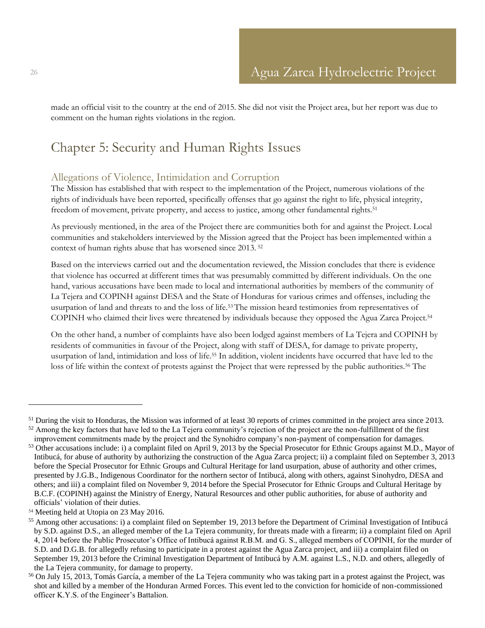made an official visit to the country at the end of 2015. She did not visit the Project area, but her report was due to comment on the human rights violations in the region.

## <span id="page-25-0"></span>Chapter 5: Security and Human Rights Issues

### <span id="page-25-1"></span>Allegations of Violence, Intimidation and Corruption

The Mission has established that with respect to the implementation of the Project, numerous violations of the rights of individuals have been reported, specifically offenses that go against the right to life, physical integrity, freedom of movement, private property, and access to justice, among other fundamental rights.<sup>51</sup>

As previously mentioned, in the area of the Project there are communities both for and against the Project. Local communities and stakeholders interviewed by the Mission agreed that the Project has been implemented within a context of human rights abuse that has worsened since 2013. <sup>52</sup>

Based on the interviews carried out and the documentation reviewed, the Mission concludes that there is evidence that violence has occurred at different times that was presumably committed by different individuals. On the one hand, various accusations have been made to local and international authorities by members of the community of La Tejera and COPINH against DESA and the State of Honduras for various crimes and offenses, including the usurpation of land and threats to and the loss of life.53The mission heard testimonies from representatives of COPINH who claimed their lives were threatened by individuals because they opposed the Agua Zarca Project.<sup>54</sup>

On the other hand, a number of complaints have also been lodged against members of La Tejera and COPINH by residents of communities in favour of the Project, along with staff of DESA, for damage to private property, usurpation of land, intimidation and loss of life.<sup>55</sup> In addition, violent incidents have occurred that have led to the loss of life within the context of protests against the Project that were repressed by the public authorities.<sup>56</sup> The

 $51$  During the visit to Honduras, the Mission was informed of at least 30 reports of crimes committed in the project area since 2013. 52 Among the key factors that have led to the La Tejera community's rejection of the project are the non-fulfillment of the first

improvement commitments made by the project and the Synohidro company's non-payment of compensation for damages. <sup>53</sup> Other accusations include: i) a complaint filed on April 9, 2013 by the Special Prosecutor for Ethnic Groups against M.D., Mayor of Intibucá, for abuse of authority by authorizing the construction of the Agua Zarca project; ii) a complaint filed on September 3, 2013 before the Special Prosecutor for Ethnic Groups and Cultural Heritage for land usurpation, abuse of authority and other crimes, presented by J.G.B., Indigenous Coordinator for the northern sector of Intibucá, along with others, against Sinohydro, DESA and others; and iii) a complaint filed on November 9, 2014 before the Special Prosecutor for Ethnic Groups and Cultural Heritage by B.C.F. (COPINH) against the Ministry of Energy, Natural Resources and other public authorities, for abuse of authority and officials' violation of their duties.

<sup>54</sup> Meeting held at Utopia on 23 May 2016.

<sup>&</sup>lt;sup>55</sup> Among other accusations: i) a complaint filed on September 19, 2013 before the Department of Criminal Investigation of Intibucá by S.D. against D.S., an alleged member of the La Tejera community, for threats made with a firearm; ii) a complaint filed on April 4, 2014 before the Public Prosecutor's Office of Intibucá against R.B.M. and G. S., alleged members of COPINH, for the murder of S.D. and D.G.B. for allegedly refusing to participate in a protest against the Agua Zarca project, and iii) a complaint filed on September 19, 2013 before the Criminal Investigation Department of Intibucá by A.M. against L.S., N.D. and others, allegedly of the La Tejera community, for damage to property.

<sup>56</sup> On July 15, 2013, Tomás García, a member of the La Tejera community who was taking part in a protest against the Project, was shot and killed by a member of the Honduran Armed Forces. This event led to the conviction for homicide of non-commissioned officer K.Y.S. of the Engineer's Battalion.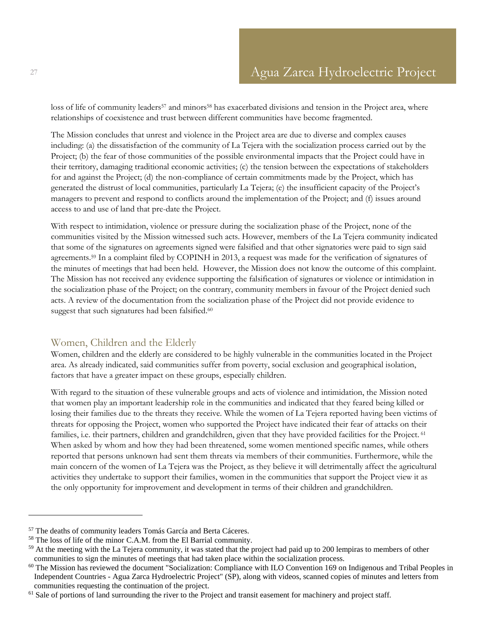loss of life of community leaders<sup>57</sup> and minors<sup>58</sup> has exacerbated divisions and tension in the Project area, where relationships of coexistence and trust between different communities have become fragmented.

The Mission concludes that unrest and violence in the Project area are due to diverse and complex causes including: (a) the dissatisfaction of the community of La Tejera with the socialization process carried out by the Project; (b) the fear of those communities of the possible environmental impacts that the Project could have in their territory, damaging traditional economic activities; (c) the tension between the expectations of stakeholders for and against the Project; (d) the non-compliance of certain commitments made by the Project, which has generated the distrust of local communities, particularly La Tejera; (e) the insufficient capacity of the Project's managers to prevent and respond to conflicts around the implementation of the Project; and (f) issues around access to and use of land that pre-date the Project.

With respect to intimidation, violence or pressure during the socialization phase of the Project, none of the communities visited by the Mission witnessed such acts. However, members of the La Tejera community indicated that some of the signatures on agreements signed were falsified and that other signatories were paid to sign said agreements.<sup>59</sup> In a complaint filed by COPINH in 2013, a request was made for the verification of signatures of the minutes of meetings that had been held. However, the Mission does not know the outcome of this complaint. The Mission has not received any evidence supporting the falsification of signatures or violence or intimidation in the socialization phase of the Project; on the contrary, community members in favour of the Project denied such acts. A review of the documentation from the socialization phase of the Project did not provide evidence to suggest that such signatures had been falsified.<sup>60</sup>

### <span id="page-26-0"></span>Women, Children and the Elderly

Women, children and the elderly are considered to be highly vulnerable in the communities located in the Project area. As already indicated, said communities suffer from poverty, social exclusion and geographical isolation, factors that have a greater impact on these groups, especially children.

With regard to the situation of these vulnerable groups and acts of violence and intimidation, the Mission noted that women play an important leadership role in the communities and indicated that they feared being killed or losing their families due to the threats they receive. While the women of La Tejera reported having been victims of threats for opposing the Project, women who supported the Project have indicated their fear of attacks on their families, i.e. their partners, children and grandchildren, given that they have provided facilities for the Project. <sup>61</sup> When asked by whom and how they had been threatened, some women mentioned specific names, while others reported that persons unknown had sent them threats via members of their communities. Furthermore, while the main concern of the women of La Tejera was the Project, as they believe it will detrimentally affect the agricultural activities they undertake to support their families, women in the communities that support the Project view it as the only opportunity for improvement and development in terms of their children and grandchildren.

<sup>57</sup> The deaths of community leaders Tomás García and Berta Cáceres.

<sup>&</sup>lt;sup>58</sup> The loss of life of the minor C.A.M. from the El Barrial community.

<sup>&</sup>lt;sup>59</sup> At the meeting with the La Tejera community, it was stated that the project had paid up to 200 lempiras to members of other communities to sign the minutes of meetings that had taken place within the socialization process.

 $60$  The Mission has reviewed the document "Socialization: Compliance with ILO Convention 169 on Indigenous and Tribal Peoples in Independent Countries - Agua Zarca Hydroelectric Project" (SP), along with videos, scanned copies of minutes and letters from communities requesting the continuation of the project.

 $<sup>61</sup>$  Sale of portions of land surrounding the river to the Project and transit easement for machinery and project staff.</sup>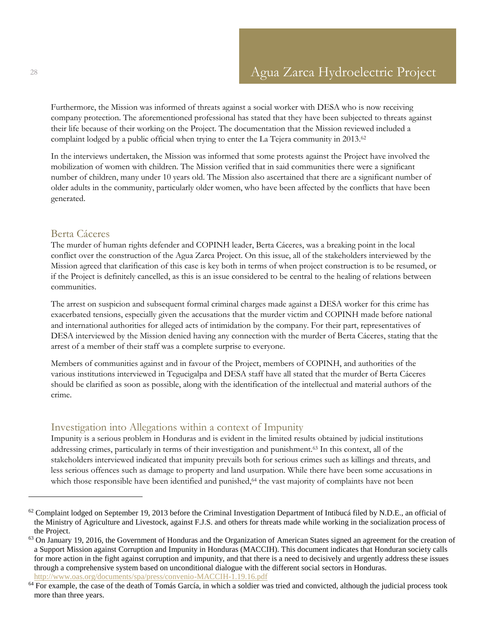Furthermore, the Mission was informed of threats against a social worker with DESA who is now receiving company protection. The aforementioned professional has stated that they have been subjected to threats against their life because of their working on the Project. The documentation that the Mission reviewed included a complaint lodged by a public official when trying to enter the La Tejera community in 2013.<sup>62</sup>

In the interviews undertaken, the Mission was informed that some protests against the Project have involved the mobilization of women with children. The Mission verified that in said communities there were a significant number of children, many under 10 years old. The Mission also ascertained that there are a significant number of older adults in the community, particularly older women, who have been affected by the conflicts that have been generated.

#### <span id="page-27-0"></span>Berta Cáceres

The murder of human rights defender and COPINH leader, Berta Cáceres, was a breaking point in the local conflict over the construction of the Agua Zarca Project. On this issue, all of the stakeholders interviewed by the Mission agreed that clarification of this case is key both in terms of when project construction is to be resumed, or if the Project is definitely cancelled, as this is an issue considered to be central to the healing of relations between communities.

The arrest on suspicion and subsequent formal criminal charges made against a DESA worker for this crime has exacerbated tensions, especially given the accusations that the murder victim and COPINH made before national and international authorities for alleged acts of intimidation by the company. For their part, representatives of DESA interviewed by the Mission denied having any connection with the murder of Berta Cáceres, stating that the arrest of a member of their staff was a complete surprise to everyone.

Members of communities against and in favour of the Project, members of COPINH, and authorities of the various institutions interviewed in Tegucigalpa and DESA staff have all stated that the murder of Berta Cáceres should be clarified as soon as possible, along with the identification of the intellectual and material authors of the crime.

#### <span id="page-27-1"></span>Investigation into Allegations within a context of Impunity

Impunity is a serious problem in Honduras and is evident in the limited results obtained by judicial institutions addressing crimes, particularly in terms of their investigation and punishment.<sup>63</sup> In this context, all of the stakeholders interviewed indicated that impunity prevails both for serious crimes such as killings and threats, and less serious offences such as damage to property and land usurpation. While there have been some accusations in which those responsible have been identified and punished,<sup>64</sup> the vast majority of complaints have not been

 $62$  Complaint lodged on September 19, 2013 before the Criminal Investigation Department of Intibucá filed by N.D.E., an official of the Ministry of Agriculture and Livestock, against F.J.S. and others for threats made while working in the socialization process of the Project.

 $63$  On January 19, 2016, the Government of Honduras and the Organization of American States signed an agreement for the creation of a Support Mission against Corruption and Impunity in Honduras (MACCIH). This document indicates that Honduran society calls for more action in the fight against corruption and impunity, and that there is a need to decisively and urgently address these issues through a comprehensive system based on unconditional dialogue with the different social sectors in Honduras. <http://www.oas.org/documents/spa/press/convenio-MACCIH-1.19.16.pdf>

 $64$  For example, the case of the death of Tomás García, in which a soldier was tried and convicted, although the judicial process took more than three years.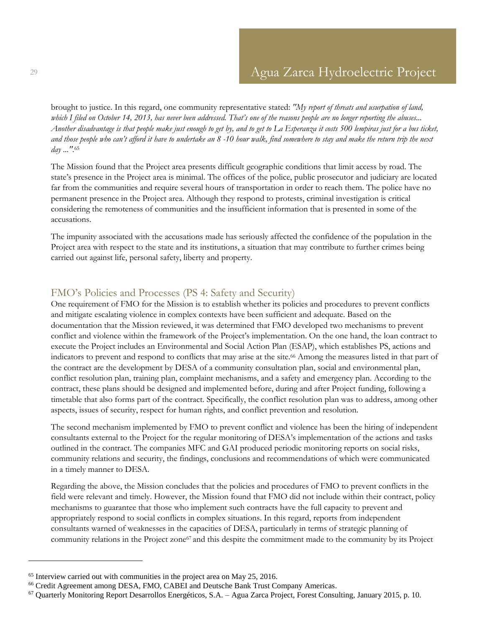brought to justice. In this regard, one community representative stated: *"My report of threats and usurpation of land, which I filed on October 14, 2013, has never been addressed. That's one of the reasons people are no longer reporting the abuses... Another disadvantage is that people make just enough to get by, and to get to La Esperanza it costs 500 lempiras just for a bus ticket, and those people who can't afford it have to undertake an 8 -10 hour walk, find somewhere to stay and make the return trip the next day ..."*. 65

The Mission found that the Project area presents difficult geographic conditions that limit access by road. The state's presence in the Project area is minimal. The offices of the police, public prosecutor and judiciary are located far from the communities and require several hours of transportation in order to reach them. The police have no permanent presence in the Project area. Although they respond to protests, criminal investigation is critical considering the remoteness of communities and the insufficient information that is presented in some of the accusations.

The impunity associated with the accusations made has seriously affected the confidence of the population in the Project area with respect to the state and its institutions, a situation that may contribute to further crimes being carried out against life, personal safety, liberty and property.

### <span id="page-28-0"></span>FMO's Policies and Processes (PS 4: Safety and Security)

One requirement of FMO for the Mission is to establish whether its policies and procedures to prevent conflicts and mitigate escalating violence in complex contexts have been sufficient and adequate. Based on the documentation that the Mission reviewed, it was determined that FMO developed two mechanisms to prevent conflict and violence within the framework of the Project's implementation. On the one hand, the loan contract to execute the Project includes an Environmental and Social Action Plan (ESAP), which establishes PS, actions and indicators to prevent and respond to conflicts that may arise at the site.<sup>66</sup> Among the measures listed in that part of the contract are the development by DESA of a community consultation plan, social and environmental plan, conflict resolution plan, training plan, complaint mechanisms, and a safety and emergency plan. According to the contract, these plans should be designed and implemented before, during and after Project funding, following a timetable that also forms part of the contract. Specifically, the conflict resolution plan was to address, among other aspects, issues of security, respect for human rights, and conflict prevention and resolution.

The second mechanism implemented by FMO to prevent conflict and violence has been the hiring of independent consultants external to the Project for the regular monitoring of DESA's implementation of the actions and tasks outlined in the contract. The companies MFC and GAI produced periodic monitoring reports on social risks, community relations and security, the findings, conclusions and recommendations of which were communicated in a timely manner to DESA.

Regarding the above, the Mission concludes that the policies and procedures of FMO to prevent conflicts in the field were relevant and timely. However, the Mission found that FMO did not include within their contract, policy mechanisms to guarantee that those who implement such contracts have the full capacity to prevent and appropriately respond to social conflicts in complex situations. In this regard, reports from independent consultants warned of weaknesses in the capacities of DESA, particularly in terms of strategic planning of community relations in the Project zone<sup>67</sup> and this despite the commitment made to the community by its Project

<sup>65</sup> Interview carried out with communities in the project area on May 25, 2016.

<sup>66</sup> Credit Agreement among DESA, FMO, CABEI and Deutsche Bank Trust Company Americas.

<sup>67</sup> Quarterly Monitoring Report Desarrollos Energéticos, S.A. – Agua Zarca Project, Forest Consulting, January 2015, p. 10.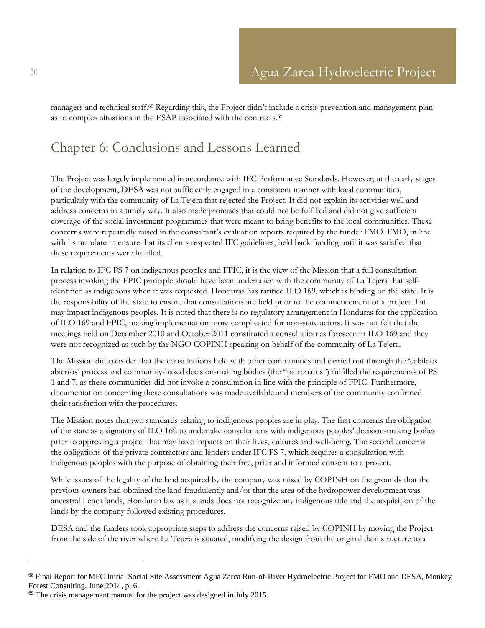managers and technical staff.<sup>68</sup> Regarding this, the Project didn't include a crisis prevention and management plan as to complex situations in the ESAP associated with the contracts.<sup>69</sup>

## <span id="page-29-0"></span>Chapter 6: Conclusions and Lessons Learned

The Project was largely implemented in accordance with IFC Performance Standards. However, at the early stages of the development, DESA was not sufficiently engaged in a consistent manner with local communities, particularly with the community of La Tejera that rejected the Project. It did not explain its activities well and address concerns in a timely way. It also made promises that could not be fulfilled and did not give sufficient coverage of the social investment programmes that were meant to bring benefits to the local communities. These concerns were repeatedly raised in the consultant's evaluation reports required by the funder FMO. FMO, in line with its mandate to ensure that its clients respected IFC guidelines, held back funding until it was satisfied that these requirements were fulfilled.

In relation to IFC PS 7 on indigenous peoples and FPIC, it is the view of the Mission that a full consultation process invoking the FPIC principle should have been undertaken with the community of La Tejera that selfidentified as indigenous when it was requested. Honduras has ratified ILO 169, which is binding on the state. It is the responsibility of the state to ensure that consultations are held prior to the commencement of a project that may impact indigenous peoples. It is noted that there is no regulatory arrangement in Honduras for the application of ILO 169 and FPIC, making implementation more complicated for non-state actors. It was not felt that the meetings held on December 2010 and October 2011 constituted a consultation as foreseen in ILO 169 and they were not recognized as such by the NGO COPINH speaking on behalf of the community of La Tejera.

The Mission did consider that the consultations held with other communities and carried out through the 'cabildos abiertos' process and community-based decision-making bodies (the "patronatos") fulfilled the requirements of PS 1 and 7, as these communities did not invoke a consultation in line with the principle of FPIC. Furthermore, documentation concerning these consultations was made available and members of the community confirmed their satisfaction with the procedures.

The Mission notes that two standards relating to indigenous peoples are in play. The first concerns the obligation of the state as a signatory of ILO 169 to undertake consultations with indigenous peoples' decision-making bodies prior to approving a project that may have impacts on their lives, cultures and well-being. The second concerns the obligations of the private contractors and lenders under IFC PS 7, which requires a consultation with indigenous peoples with the purpose of obtaining their free, prior and informed consent to a project.

While issues of the legality of the land acquired by the company was raised by COPINH on the grounds that the previous owners had obtained the land fraudulently and/or that the area of the hydropower development was ancestral Lenca lands, Honduran law as it stands does not recognize any indigenous title and the acquisition of the lands by the company followed existing procedures.

DESA and the funders took appropriate steps to address the concerns raised by COPINH by moving the Project from the side of the river where La Tejera is situated, modifying the design from the original dam structure to a

<sup>68</sup> Final Report for MFC Initial Social Site Assessment Agua Zarca Run-of-River Hydroelectric Project for FMO and DESA, Monkey Forest Consulting, June 2014, p. 6.

 $69$  The crisis management manual for the project was designed in July 2015.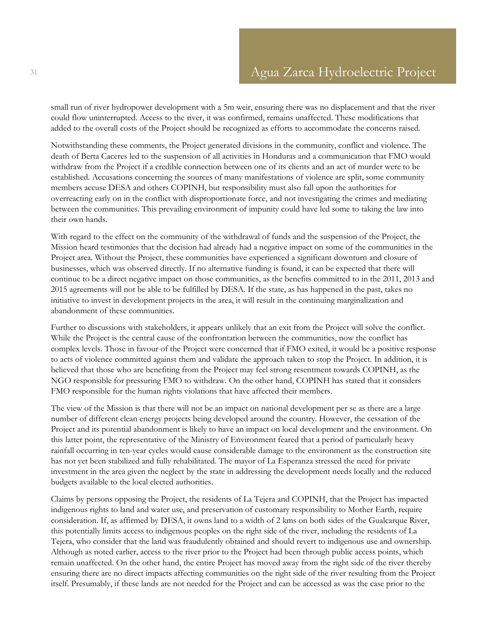small run of river hydropower development with a 5m weir, ensuring there was no displacement and that the river could flow uninterrupted. Access to the river, it was confirmed, remains unaffected. These modifications that added to the overall costs of the Project should be recognized as efforts to accommodate the concerns raised.

Notwithstanding these comments, the Project generated divisions in the community, conflict and violence. The death of Berta Caceres led to the suspension of all activities in Honduras and a communication that FMO would withdraw from the Project if a credible connection between one of its clients and an act of murder were to be established. Accusations concerning the sources of many manifestations of violence are split, some community members accuse DESA and others COPINH, but responsibility must also fall upon the authorities for overreacting early on in the conflict with disproportionate force, and not investigating the crimes and mediating between the communities. This prevailing environment of impunity could have led some to taking the law into their own hands.

With regard to the effect on the community of the withdrawal of funds and the suspension of the Project, the Mission heard testimonies that the decision had already had a negative impact on some of the communities in the Project area. Without the Project, these communities have experienced a significant downturn and closure of businesses, which was observed directly. If no alternative funding is found, it can be expected that there will continue to be a direct negative impact on those communities, as the benefits committed to in the 2011, 2013 and 2015 agreements will not be able to be fulfilled by DESA. If the state, as has happened in the past, takes no initiative to invest in development projects in the area, it will result in the continuing marginalization and abandonment of these communities.

Further to discussions with stakeholders, it appears unlikely that an exit from the Project will solve the conflict. While the Project is the central cause of the confrontation between the communities, now the conflict has complex levels. Those in favour of the Project were concerned that if FMO exited, it would be a positive response to acts of violence committed against them and validate the approach taken to stop the Project. In addition, it is believed that those who are benefiting from the Project may feel strong resentment towards COPINH, as the NGO responsible for pressuring FMO to withdraw. On the other hand, COPINH has stated that it considers FMO responsible for the human rights violations that have affected their members.

The view of the Mission is that there will not be an impact on national development per se as there are a large number of different clean energy projects being developed around the country. However, the cessation of the Project and its potential abandonment is likely to have an impact on local development and the environment. On this latter point, the representative of the Ministry of Environment feared that a period of particularly heavy rainfall occurring in ten-year cycles would cause considerable damage to the environment as the construction site has not yet been stabilized and fully rehabilitated. The mayor of La Esperanza stressed the need for private investment in the area given the neglect by the state in addressing the development needs locally and the reduced budgets available to the local elected authorities.

Claims by persons opposing the Project, the residents of La Tejera and COPINH, that the Project has impacted indigenous rights to land and water use, and preservation of customary responsibility to Mother Earth, require consideration. If, as affirmed by DESA, it owns land to a width of 2 kms on both sides of the Gualcarque River, this potentially limits access to indigenous peoples on the right side of the river, including the residents of La Tejera, who consider that the land was fraudulently obtained and should revert to indigenous use and ownership. Although as noted earlier, access to the river prior to the Project had been through public access points, which remain unaffected. On the other hand, the entire Project has moved away from the right side of the river thereby ensuring there are no direct impacts affecting communities on the right side of the river resulting from the Project itself. Presumably, if these lands are not needed for the Project and can be accessed as was the case prior to the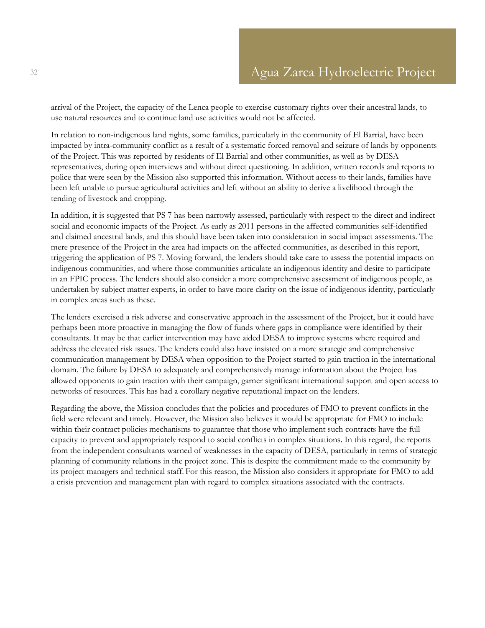arrival of the Project, the capacity of the Lenca people to exercise customary rights over their ancestral lands, to use natural resources and to continue land use activities would not be affected.

In relation to non-indigenous land rights, some families, particularly in the community of El Barrial, have been impacted by intra-community conflict as a result of a systematic forced removal and seizure of lands by opponents of the Project. This was reported by residents of El Barrial and other communities, as well as by DESA representatives, during open interviews and without direct questioning. In addition, written records and reports to police that were seen by the Mission also supported this information. Without access to their lands, families have been left unable to pursue agricultural activities and left without an ability to derive a livelihood through the tending of livestock and cropping.

In addition, it is suggested that PS 7 has been narrowly assessed, particularly with respect to the direct and indirect social and economic impacts of the Project. As early as 2011 persons in the affected communities self-identified and claimed ancestral lands, and this should have been taken into consideration in social impact assessments. The mere presence of the Project in the area had impacts on the affected communities, as described in this report, triggering the application of PS 7. Moving forward, the lenders should take care to assess the potential impacts on indigenous communities, and where those communities articulate an indigenous identity and desire to participate in an FPIC process. The lenders should also consider a more comprehensive assessment of indigenous people, as undertaken by subject matter experts, in order to have more clarity on the issue of indigenous identity, particularly in complex areas such as these.

The lenders exercised a risk adverse and conservative approach in the assessment of the Project, but it could have perhaps been more proactive in managing the flow of funds where gaps in compliance were identified by their consultants. It may be that earlier intervention may have aided DESA to improve systems where required and address the elevated risk issues. The lenders could also have insisted on a more strategic and comprehensive communication management by DESA when opposition to the Project started to gain traction in the international domain. The failure by DESA to adequately and comprehensively manage information about the Project has allowed opponents to gain traction with their campaign, garner significant international support and open access to networks of resources. This has had a corollary negative reputational impact on the lenders.

Regarding the above, the Mission concludes that the policies and procedures of FMO to prevent conflicts in the field were relevant and timely. However, the Mission also believes it would be appropriate for FMO to include within their contract policies mechanisms to guarantee that those who implement such contracts have the full capacity to prevent and appropriately respond to social conflicts in complex situations. In this regard, the reports from the independent consultants warned of weaknesses in the capacity of DESA, particularly in terms of strategic planning of community relations in the project zone. This is despite the commitment made to the community by its project managers and technical staff. For this reason, the Mission also considers it appropriate for FMO to add a crisis prevention and management plan with regard to complex situations associated with the contracts.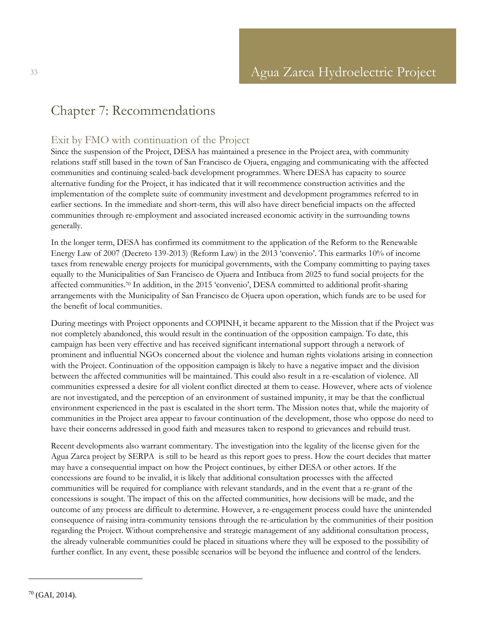## <span id="page-32-0"></span>Chapter 7: Recommendations

## <span id="page-32-1"></span>Exit by FMO with continuation of the Project

Since the suspension of the Project, DESA has maintained a presence in the Project area, with community relations staff still based in the town of San Francisco de Ojuera, engaging and communicating with the affected communities and continuing scaled-back development programmes. Where DESA has capacity to source alternative funding for the Project, it has indicated that it will recommence construction activities and the implementation of the complete suite of community investment and development programmes referred to in earlier sections. In the immediate and short-term, this will also have direct beneficial impacts on the affected communities through re-employment and associated increased economic activity in the surrounding towns generally.

In the longer term, DESA has confirmed its commitment to the application of the Reform to the Renewable Energy Law of 2007 (Decreto 139-2013) (Reform Law) in the 2013 'convenio'. This earmarks 10% of income taxes from renewable energy projects for municipal governments, with the Company committing to paying taxes equally to the Municipalities of San Francisco de Ojuera and Intibuca from 2025 to fund social projects for the affected communities. <sup>70</sup> In addition, in the 2015 'convenio', DESA committed to additional profit-sharing arrangements with the Municipality of San Francisco de Ojuera upon operation, which funds are to be used for the benefit of local communities.

During meetings with Project opponents and COPINH, it became apparent to the Mission that if the Project was not completely abandoned, this would result in the continuation of the opposition campaign. To date, this campaign has been very effective and has received significant international support through a network of prominent and influential NGOs concerned about the violence and human rights violations arising in connection with the Project. Continuation of the opposition campaign is likely to have a negative impact and the division between the affected communities will be maintained. This could also result in a re-escalation of violence. All communities expressed a desire for all violent conflict directed at them to cease. However, where acts of violence are not investigated, and the perception of an environment of sustained impunity, it may be that the conflictual environment experienced in the past is escalated in the short term. The Mission notes that, while the majority of communities in the Project area appear to favour continuation of the development, those who oppose do need to have their concerns addressed in good faith and measures taken to respond to grievances and rebuild trust.

Recent developments also warrant commentary. The investigation into the legality of the license given for the Agua Zarca project by SERPA is still to be heard as this report goes to press. How the court decides that matter may have a consequential impact on how the Project continues, by either DESA or other actors. If the concessions are found to be invalid, it is likely that additional consultation processes with the affected communities will be required for compliance with relevant standards, and in the event that a re-grant of the concessions is sought. The impact of this on the affected communities, how decisions will be made, and the outcome of any process are difficult to determine. However, a re-engagement process could have the unintended consequence of raising intra-community tensions through the re-articulation by the communities of their position regarding the Project. Without comprehensive and strategic management of any additional consultation process, the already vulnerable communities could be placed in situations where they will be exposed to the possibility of further conflict. In any event, these possible scenarios will be beyond the influence and control of the lenders.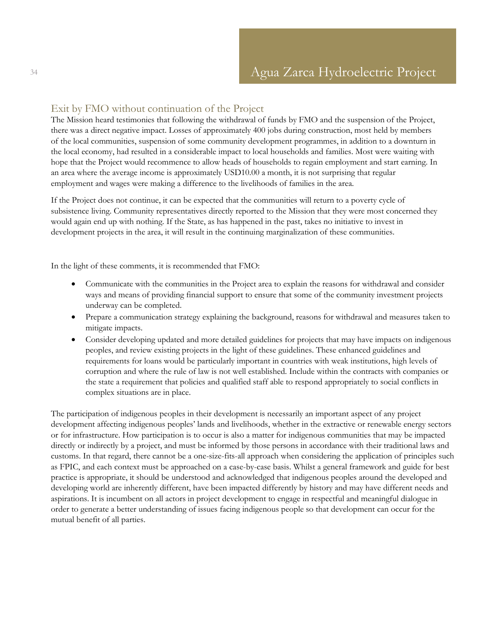### <span id="page-33-0"></span>Exit by FMO without continuation of the Project

The Mission heard testimonies that following the withdrawal of funds by FMO and the suspension of the Project, there was a direct negative impact. Losses of approximately 400 jobs during construction, most held by members of the local communities, suspension of some community development programmes, in addition to a downturn in the local economy, had resulted in a considerable impact to local households and families. Most were waiting with hope that the Project would recommence to allow heads of households to regain employment and start earning. In an area where the average income is approximately USD10.00 a month, it is not surprising that regular employment and wages were making a difference to the livelihoods of families in the area.

If the Project does not continue, it can be expected that the communities will return to a poverty cycle of subsistence living. Community representatives directly reported to the Mission that they were most concerned they would again end up with nothing. If the State, as has happened in the past, takes no initiative to invest in development projects in the area, it will result in the continuing marginalization of these communities.

In the light of these comments, it is recommended that FMO:

- Communicate with the communities in the Project area to explain the reasons for withdrawal and consider ways and means of providing financial support to ensure that some of the community investment projects underway can be completed.
- Prepare a communication strategy explaining the background, reasons for withdrawal and measures taken to mitigate impacts.
- Consider developing updated and more detailed guidelines for projects that may have impacts on indigenous peoples, and review existing projects in the light of these guidelines. These enhanced guidelines and requirements for loans would be particularly important in countries with weak institutions, high levels of corruption and where the rule of law is not well established. Include within the contracts with companies or the state a requirement that policies and qualified staff able to respond appropriately to social conflicts in complex situations are in place.

The participation of indigenous peoples in their development is necessarily an important aspect of any project development affecting indigenous peoples' lands and livelihoods, whether in the extractive or renewable energy sectors or for infrastructure. How participation is to occur is also a matter for indigenous communities that may be impacted directly or indirectly by a project, and must be informed by those persons in accordance with their traditional laws and customs. In that regard, there cannot be a one-size-fits-all approach when considering the application of principles such as FPIC, and each context must be approached on a case-by-case basis. Whilst a general framework and guide for best practice is appropriate, it should be understood and acknowledged that indigenous peoples around the developed and developing world are inherently different, have been impacted differently by history and may have different needs and aspirations. It is incumbent on all actors in project development to engage in respectful and meaningful dialogue in order to generate a better understanding of issues facing indigenous people so that development can occur for the mutual benefit of all parties.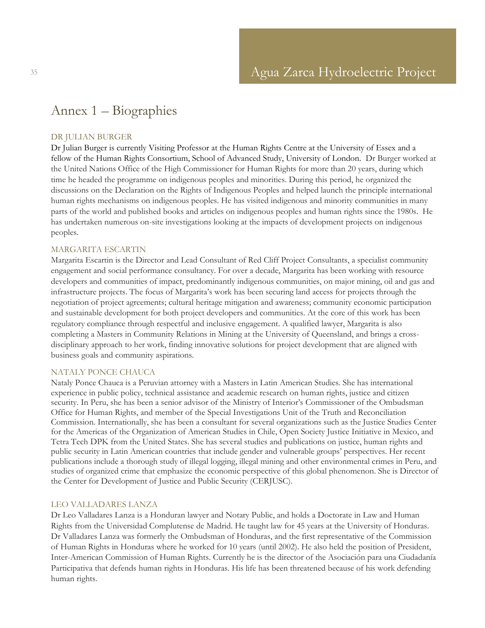## <span id="page-34-0"></span>Annex 1 – Biographies

#### DR JULIAN BURGER

Dr Julian Burger is currently Visiting Professor at the Human Rights Centre at the University of Essex and a fellow of the Human Rights Consortium, School of Advanced Study, University of London. Dr Burger worked at the United Nations Office of the High Commissioner for Human Rights for more than 20 years, during which time he headed the programme on indigenous peoples and minorities. During this period, he organized the discussions on the Declaration on the Rights of Indigenous Peoples and helped launch the principle international human rights mechanisms on indigenous peoples. He has visited indigenous and minority communities in many parts of the world and published books and articles on indigenous peoples and human rights since the 1980s. He has undertaken numerous on-site investigations looking at the impacts of development projects on indigenous peoples.

#### MARGARITA ESCARTIN

Margarita Escartin is the Director and Lead Consultant of Red Cliff Project Consultants, a specialist community engagement and social performance consultancy. For over a decade, Margarita has been working with resource developers and communities of impact, predominantly indigenous communities, on major mining, oil and gas and infrastructure projects. The focus of Margarita's work has been securing land access for projects through the negotiation of project agreements; cultural heritage mitigation and awareness; community economic participation and sustainable development for both project developers and communities. At the core of this work has been regulatory compliance through respectful and inclusive engagement. A qualified lawyer, Margarita is also completing a Masters in Community Relations in Mining at the University of Queensland, and brings a crossdisciplinary approach to her work, finding innovative solutions for project development that are aligned with business goals and community aspirations.

#### NATALY PONCE CHAUCA

Nataly Ponce Chauca is a Peruvian attorney with a Masters in Latin American Studies. She has international experience in public policy, technical assistance and academic research on human rights, justice and citizen security. In Peru, she has been a senior advisor of the Ministry of Interior's Commissioner of the Ombudsman Office for Human Rights, and member of the Special Investigations Unit of the Truth and Reconciliation Commission. Internationally, she has been a consultant for several organizations such as the Justice Studies Center for the Americas of the Organization of American Studies in Chile, Open Society Justice Initiative in Mexico, and Tetra Tech DPK from the United States. She has several studies and publications on justice, human rights and public security in Latin American countries that include gender and vulnerable groups' perspectives. Her recent publications include a thorough study of illegal logging, illegal mining and other environmental crimes in Peru, and studies of organized crime that emphasize the economic perspective of this global phenomenon. She is Director of the Center for Development of Justice and Public Security (CERJUSC).

#### LEO VALLADARES LANZA

Dr Leo Valladares Lanza is a Honduran lawyer and Notary Public, and holds a Doctorate in Law and Human Rights from the Universidad Complutense de Madrid. He taught law for 45 years at the University of Honduras. Dr Valladares Lanza was formerly the Ombudsman of Honduras, and the first representative of the Commission of Human Rights in Honduras where he worked for 10 years (until 2002). He also held the position of President, Inter-American Commission of Human Rights. Currently he is the director of the Asociación para una Ciudadanía Participativa that defends human rights in Honduras. His life has been threatened because of his work defending human rights.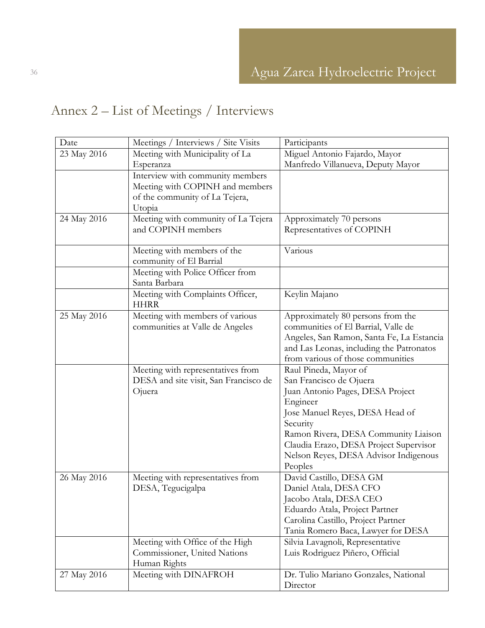# <span id="page-35-0"></span>Annex 2 – List of Meetings / Interviews

| Date        | Meetings / Interviews / Site Visits   | Participants                              |
|-------------|---------------------------------------|-------------------------------------------|
| 23 May 2016 | Meeting with Municipality of La       | Miguel Antonio Fajardo, Mayor             |
|             | Esperanza                             | Manfredo Villanueva, Deputy Mayor         |
|             | Interview with community members      |                                           |
|             | Meeting with COPINH and members       |                                           |
|             | of the community of La Tejera,        |                                           |
|             | Utopia                                |                                           |
| 24 May 2016 | Meeting with community of La Tejera   | Approximately 70 persons                  |
|             | and COPINH members                    | Representatives of COPINH                 |
|             |                                       |                                           |
|             | Meeting with members of the           | Various                                   |
|             | community of El Barrial               |                                           |
|             | Meeting with Police Officer from      |                                           |
|             | Santa Barbara                         |                                           |
|             | Meeting with Complaints Officer,      | Keylin Majano                             |
|             | <b>HHRR</b>                           |                                           |
| 25 May 2016 | Meeting with members of various       | Approximately 80 persons from the         |
|             | communities at Valle de Angeles       | communities of El Barrial, Valle de       |
|             |                                       | Angeles, San Ramon, Santa Fe, La Estancia |
|             |                                       | and Las Leonas, including the Patronatos  |
|             |                                       | from various of those communities         |
|             | Meeting with representatives from     | Raul Pineda, Mayor of                     |
|             | DESA and site visit, San Francisco de | San Francisco de Ojuera                   |
|             | Ojuera                                | Juan Antonio Pages, DESA Project          |
|             |                                       | Engineer                                  |
|             |                                       | Jose Manuel Reyes, DESA Head of           |
|             |                                       | Security                                  |
|             |                                       | Ramon Rivera, DESA Community Liaison      |
|             |                                       | Claudia Erazo, DESA Project Supervisor    |
|             |                                       | Nelson Reyes, DESA Advisor Indigenous     |
|             |                                       | Peoples                                   |
| 26 May 2016 | Meeting with representatives from     | David Castillo, DESA GM                   |
|             | DESA, Tegucigalpa                     | Daniel Atala, DESA CFO                    |
|             |                                       | Jacobo Atala, DESA CEO                    |
|             |                                       | Eduardo Atala, Project Partner            |
|             |                                       | Carolina Castillo, Project Partner        |
|             |                                       | Tania Romero Baca, Lawyer for DESA        |
|             | Meeting with Office of the High       | Silvia Lavagnoli, Representative          |
|             | Commissioner, United Nations          | Luis Rodriguez Piñero, Official           |
|             | Human Rights                          |                                           |
| 27 May 2016 | Meeting with DINAFROH                 | Dr. Tulio Mariano Gonzales, National      |
|             |                                       | Director                                  |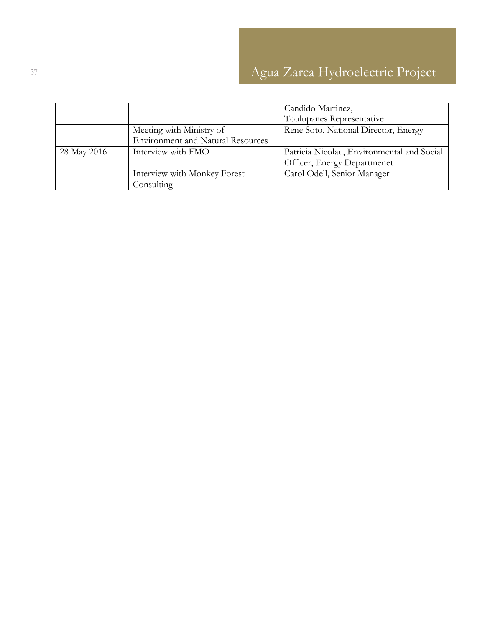|             |                                          | Candido Martinez,                          |
|-------------|------------------------------------------|--------------------------------------------|
|             |                                          | Toulupanes Representative                  |
|             | Meeting with Ministry of                 | Rene Soto, National Director, Energy       |
|             | <b>Environment and Natural Resources</b> |                                            |
| 28 May 2016 | Interview with FMO                       | Patricia Nicolau, Environmental and Social |
|             |                                          | Officer, Energy Departmenet                |
|             | Interview with Monkey Forest             | Carol Odell, Senior Manager                |
|             | Consulting                               |                                            |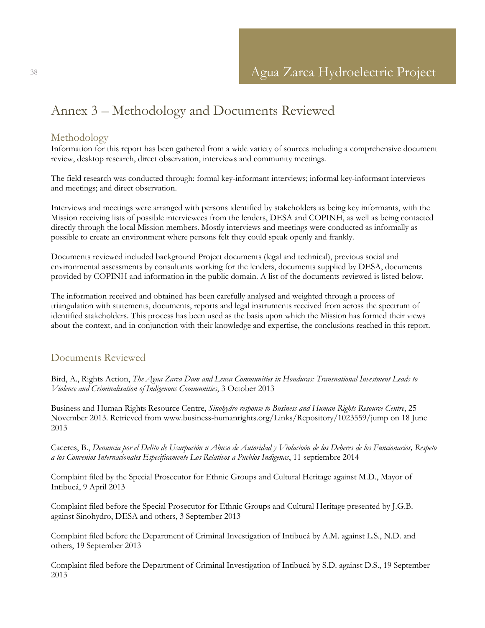## <span id="page-37-0"></span>Annex 3 – Methodology and Documents Reviewed

### <span id="page-37-1"></span>Methodology

Information for this report has been gathered from a wide variety of sources including a comprehensive document review, desktop research, direct observation, interviews and community meetings.

The field research was conducted through: formal key-informant interviews; informal key-informant interviews and meetings; and direct observation.

Interviews and meetings were arranged with persons identified by stakeholders as being key informants, with the Mission receiving lists of possible interviewees from the lenders, DESA and COPINH, as well as being contacted directly through the local Mission members. Mostly interviews and meetings were conducted as informally as possible to create an environment where persons felt they could speak openly and frankly.

Documents reviewed included background Project documents (legal and technical), previous social and environmental assessments by consultants working for the lenders, documents supplied by DESA, documents provided by COPINH and information in the public domain. A list of the documents reviewed is listed below.

The information received and obtained has been carefully analysed and weighted through a process of triangulation with statements, documents, reports and legal instruments received from across the spectrum of identified stakeholders. This process has been used as the basis upon which the Mission has formed their views about the context, and in conjunction with their knowledge and expertise, the conclusions reached in this report.

### <span id="page-37-2"></span>Documents Reviewed

Bird, A., Rights Action, *The Agua Zarca Dam and Lenca Communities in Honduras: Transnational Investment Leads to Violence and Criminalisation of Indigenous Communities*, 3 October 2013

Business and Human Rights Resource Centre, *Sinohydro response to Business and Human Rights Resource Centre*, 25 November 2013. Retrieved from [www.business-humanrights.org/Links/Repository/1023559/jump](http://www.business-humanrights.org/Links/Repository/1023559/jump) on 18 June 2013

Caceres, B., *Denuncia por el Delito de Usurpación u Abuso de Autoridad y Violacioón de los Deberes de los Funcionarios, Respeto a los Convenios Internacionales Especificamente Los Relativos a Pueblos Indigenas*, 11 septiembre 2014

Complaint filed by the Special Prosecutor for Ethnic Groups and Cultural Heritage against M.D., Mayor of Intibucá, 9 April 2013

Complaint filed before the Special Prosecutor for Ethnic Groups and Cultural Heritage presented by J.G.B. against Sinohydro, DESA and others, 3 September 2013

Complaint filed before the Department of Criminal Investigation of Intibucá by A.M. against L.S., N.D. and others, 19 September 2013

Complaint filed before the Department of Criminal Investigation of Intibucá by S.D. against D.S., 19 September 2013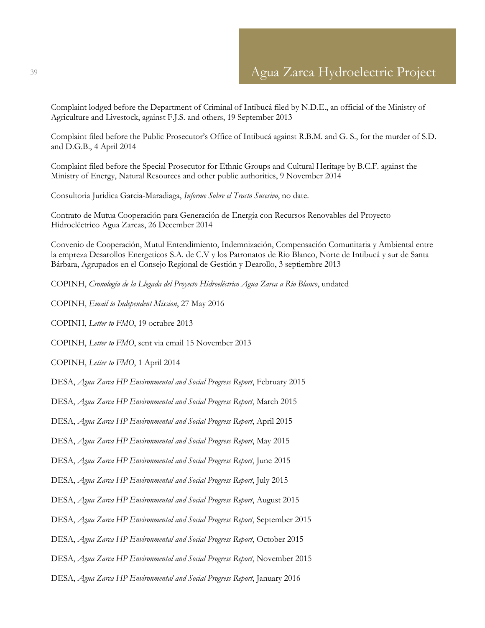Complaint lodged before the Department of Criminal of Intibucá filed by N.D.E., an official of the Ministry of Agriculture and Livestock, against F.J.S. and others, 19 September 2013

Complaint filed before the Public Prosecutor's Office of Intibucá against R.B.M. and G. S., for the murder of S.D. and D.G.B., 4 April 2014

Complaint filed before the Special Prosecutor for Ethnic Groups and Cultural Heritage by B.C.F. against the Ministry of Energy, Natural Resources and other public authorities, 9 November 2014

Consultoria Juridica Garcia-Maradiaga, *Informe Sobre el Tracto Sucesivo*, no date.

Contrato de Mutua Cooperación para Generación de Energía con Recursos Renovables del Proyecto Hidroeléctrico Agua Zarcas, 26 December 2014

Convenio de Cooperación, Mutul Entendimiento, Indemnización, Compensación Comunitaria y Ambiental entre la empreza Desarollos Energeticos S.A. de C.V y los Patronatos de Rio Blanco, Norte de Intibucá y sur de Santa Bárbara, Agrupados en el Consejo Regional de Gestión y Dearollo, 3 septiembre 2013

COPINH, *Cronología de la Llegada del Proyecto Hidroeléctrico Agua Zarca a Rio Blanco*, undated

COPINH, *Email to Independent Mission*, 27 May 2016

COPINH, *Letter to FMO*, 19 octubre 2013

COPINH, *Letter to FMO*, sent via email 15 November 2013

COPINH, *Letter to FMO*, 1 April 2014

DESA, *Agua Zarca HP Environmental and Social Progress Report*, February 2015

DESA, *Agua Zarca HP Environmental and Social Progress Report*, March 2015

DESA, *Agua Zarca HP Environmental and Social Progress Report*, April 2015

DESA, *Agua Zarca HP Environmental and Social Progress Report*, May 2015

DESA, *Agua Zarca HP Environmental and Social Progress Report*, June 2015

DESA, *Agua Zarca HP Environmental and Social Progress Report*, July 2015

DESA, *Agua Zarca HP Environmental and Social Progress Report*, August 2015

DESA, *Agua Zarca HP Environmental and Social Progress Report*, September 2015

DESA, *Agua Zarca HP Environmental and Social Progress Report*, October 2015

DESA, *Agua Zarca HP Environmental and Social Progress Report*, November 2015

DESA, *Agua Zarca HP Environmental and Social Progress Report*, January 2016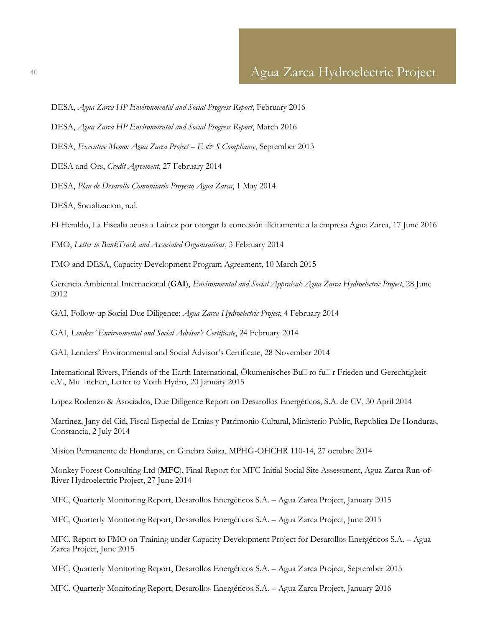DESA, *Agua Zarca HP Environmental and Social Progress Report*, February 2016

DESA, *Agua Zarca HP Environmental and Social Progress Report*, March 2016

DESA, *Executive Memo: Agua Zarca Project – E & S Compliance*, September 2013

DESA and Ors, *Credit Agreement*, 27 February 2014

DESA, *Plan de Desarollo Comunitario Proyecto Agua Zarca*, 1 May 2014

DESA, Socializacion, n.d.

El Heraldo, La Fiscalia acusa a Laínez por otorgar la concesión ilícitamente a la empresa Agua Zarca, 17 June 2016

FMO, *Letter to BankTrack and Associated Organisations*, 3 February 2014

FMO and DESA, Capacity Development Program Agreement, 10 March 2015

Gerencia Ambiental Internacional (**GAI**), *Environmental and Social Appraisal: Agua Zarca Hydroelectric Project*, 28 June 2012

GAI, Follow-up Social Due Diligence: *Agua Zarca Hydroelectric Project*, 4 February 2014

GAI, *Lenders' Environmental and Social Advisor's Certificate*, 24 February 2014

GAI, Lenders' Environmental and Social Advisor's Certificate, 28 November 2014

International Rivers, Friends of the Earth International, Ökumenisches Büro für Frieden und Gerechtigkeit e.V., Mu $\Box$  nchen, Letter to Voith Hydro, 20 January 2015

Lopez Rodenzo & Asociados, Due Diligence Report on Desarollos Energéticos, S.A. de CV, 30 April 2014

Martinez, Jany del Cid, Fiscal Especial de Etnias y Patrimonio Cultural, Ministerio Public, Republica De Honduras, Constancia, 2 July 2014

Mision Permanente de Honduras, en Ginebra Suiza, MPHG-OHCHR 110-14, 27 octubre 2014

Monkey Forest Consulting Ltd (**MFC**), Final Report for MFC Initial Social Site Assessment, Agua Zarca Run-of-River Hydroelectric Project, 27 June 2014

MFC, Quarterly Monitoring Report, Desarollos Energéticos S.A. – Agua Zarca Project, January 2015

MFC, Quarterly Monitoring Report, Desarollos Energéticos S.A. – Agua Zarca Project, June 2015

MFC, Report to FMO on Training under Capacity Development Project for Desarollos Energéticos S.A. – Agua Zarca Project, June 2015

MFC, Quarterly Monitoring Report, Desarollos Energéticos S.A. – Agua Zarca Project, September 2015

MFC, Quarterly Monitoring Report, Desarollos Energéticos S.A. – Agua Zarca Project, January 2016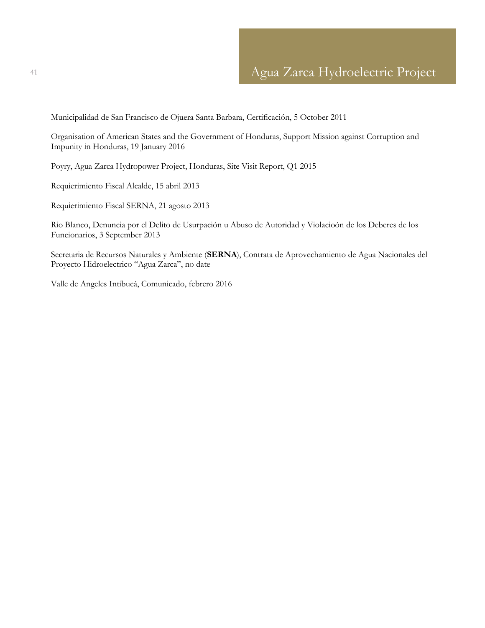Municipalidad de San Francisco de Ojuera Santa Barbara, Certificación, 5 October 2011

Organisation of American States and the Government of Honduras, Support Mission against Corruption and Impunity in Honduras, 19 January 2016

Poyry, Agua Zarca Hydropower Project, Honduras, Site Visit Report, Q1 2015

Requierimiento Fiscal Alcalde, 15 abril 2013

Requierimiento Fiscal SERNA, 21 agosto 2013

Rio Blanco, Denuncia por el Delito de Usurpación u Abuso de Autoridad y Violacioón de los Deberes de los Funcionarios, 3 September 2013

Secretaria de Recursos Naturales y Ambiente (**SERNA**), Contrata de Aprovechamiento de Agua Nacionales del Proyecto Hidroelectrico "Agua Zarca", no date

Valle de Angeles Intibucá, Comunicado, febrero 2016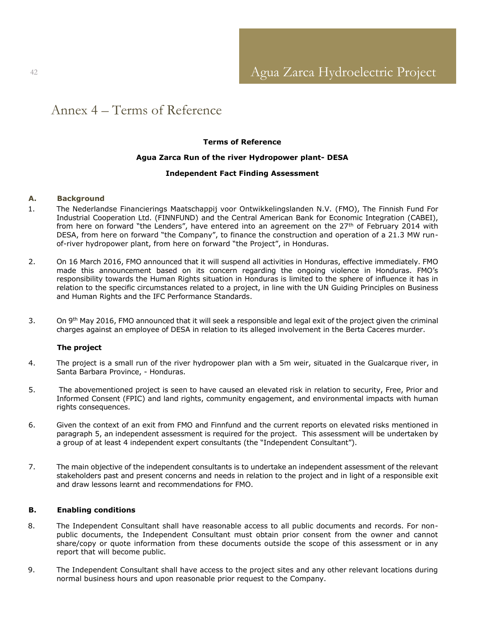## <span id="page-41-0"></span>Annex 4 – Terms of Reference

#### **Terms of Reference**

#### **Agua Zarca Run of the river Hydropower plant- DESA**

#### **Independent Fact Finding Assessment**

#### <span id="page-41-1"></span>**A. Background**

- 1. The Nederlandse Financierings Maatschappij voor Ontwikkelingslanden N.V. (FMO), The Finnish Fund For Industrial Cooperation Ltd. (FINNFUND) and the Central American Bank for Economic Integration (CABEI), from here on forward "the Lenders", have entered into an agreement on the 27<sup>th</sup> of February 2014 with DESA, from here on forward "the Company", to finance the construction and operation of a 21.3 MW runof-river hydropower plant, from here on forward "the Project", in Honduras.
- 2. On 16 March 2016, FMO announced that it will suspend all activities in Honduras, effective immediately. FMO made this announcement based on its concern regarding the ongoing violence in Honduras. FMO's responsibility towards the Human Rights situation in Honduras is limited to the sphere of influence it has in relation to the specific circumstances related to a project, in line with the UN Guiding Principles on Business and Human Rights and the IFC Performance Standards.
- 3. On 9<sup>th</sup> May 2016, FMO announced that it will seek a responsible and legal exit of the project given the criminal charges against an employee of DESA in relation to its alleged involvement in the Berta Caceres murder.

#### **The project**

- 4. The project is a small run of the river hydropower plan with a 5m weir, situated in the Gualcarque river, in Santa Barbara Province, - Honduras.
- 5. The abovementioned project is seen to have caused an elevated risk in relation to security, Free, Prior and Informed Consent (FPIC) and land rights, community engagement, and environmental impacts with human rights consequences.
- 6. Given the context of an exit from FMO and Finnfund and the current reports on elevated risks mentioned in paragraph 5, an independent assessment is required for the project. This assessment will be undertaken by a group of at least 4 independent expert consultants (the "Independent Consultant").
- 7. The main objective of the independent consultants is to undertake an independent assessment of the relevant stakeholders past and present concerns and needs in relation to the project and in light of a responsible exit and draw lessons learnt and recommendations for FMO.

#### **B. Enabling conditions**

- 8. The Independent Consultant shall have reasonable access to all public documents and records. For nonpublic documents, the Independent Consultant must obtain prior consent from the owner and cannot share/copy or quote information from these documents outside the scope of this assessment or in any report that will become public.
- 9. The Independent Consultant shall have access to the project sites and any other relevant locations during normal business hours and upon reasonable prior request to the Company.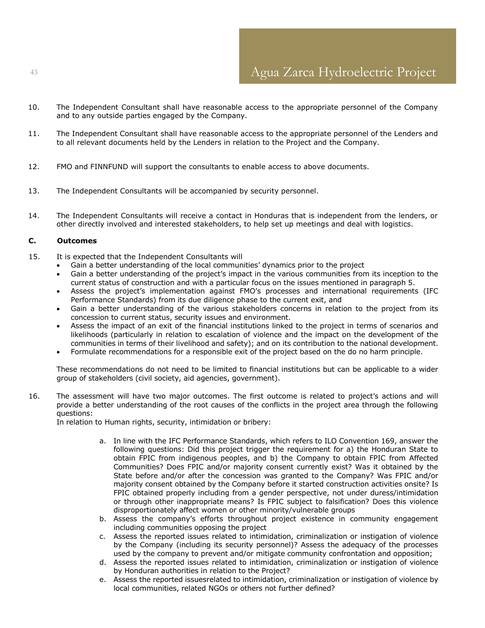- 10. The Independent Consultant shall have reasonable access to the appropriate personnel of the Company and to any outside parties engaged by the Company.
- 11. The Independent Consultant shall have reasonable access to the appropriate personnel of the Lenders and to all relevant documents held by the Lenders in relation to the Project and the Company.
- 12. FMO and FINNFUND will support the consultants to enable access to above documents.
- 13. The Independent Consultants will be accompanied by security personnel.
- 14. The Independent Consultants will receive a contact in Honduras that is independent from the lenders, or other directly involved and interested stakeholders, to help set up meetings and deal with logistics.

#### **C. Outcomes**

- 15. It is expected that the Independent Consultants will
	- Gain a better understanding of the local communities' dynamics prior to the project
	- Gain a better understanding of the project's impact in the various communities from its inception to the current status of construction and with a particular focus on the issues mentioned in paragraph 5.
	- Assess the project's implementation against FMO's processes and international requirements (IFC Performance Standards) from its due diligence phase to the current exit, and
	- Gain a better understanding of the various stakeholders concerns in relation to the project from its concession to current status, security issues and environment.
	- Assess the impact of an exit of the financial institutions linked to the project in terms of scenarios and likelihoods (particularly in relation to escalation of violence and the impact on the development of the communities in terms of their livelihood and safety); and on its contribution to the national development.
	- Formulate recommendations for a responsible exit of the project based on the do no harm principle.

These recommendations do not need to be limited to financial institutions but can be applicable to a wider group of stakeholders (civil society, aid agencies, government).

16. The assessment will have two major outcomes. The first outcome is related to project's actions and will provide a better understanding of the root causes of the conflicts in the project area through the following questions:

In relation to Human rights, security, intimidation or bribery:

- a. In line with the IFC Performance Standards, which refers to ILO Convention 169, answer the following questions: Did this project trigger the requirement for a) the Honduran State to obtain FPIC from indigenous peoples, and b) the Company to obtain FPIC from Affected Communities? Does FPIC and/or majority consent currently exist? Was it obtained by the State before and/or after the concession was granted to the Company? Was FPIC and/or majority consent obtained by the Company before it started construction activities onsite? Is FPIC obtained properly including from a gender perspective, not under duress/intimidation or through other inappropriate means? Is FPIC subject to falsification? Does this violence disproportionately affect women or other minority/vulnerable groups
- b. Assess the company's efforts throughout project existence in community engagement including communities opposing the project
- c. Assess the reported issues related to intimidation, criminalization or instigation of violence by the Company (including its security personnel)? Assess the adequacy of the processes used by the company to prevent and/or mitigate community confrontation and opposition;
- d. Assess the reported issues related to intimidation, criminalization or instigation of violence by Honduran authorities in relation to the Project?
- e. Assess the reported issuesrelated to intimidation, criminalization or instigation of violence by local communities, related NGOs or others not further defined?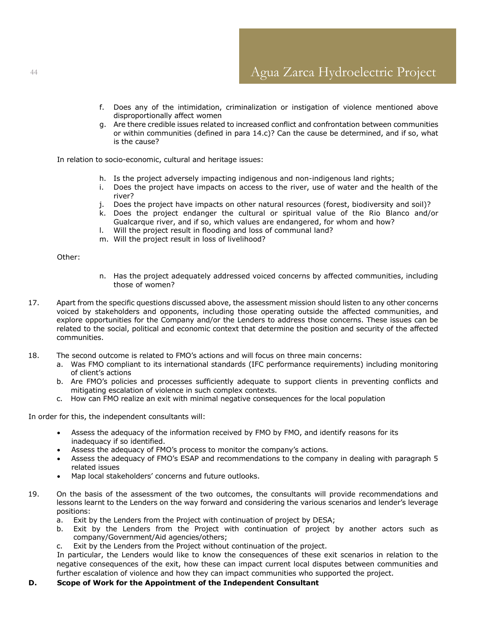- f. Does any of the intimidation, criminalization or instigation of violence mentioned above disproportionally affect women
- g. Are there credible issues related to increased conflict and confrontation between communities or within communities (defined in para 14.c)? Can the cause be determined, and if so, what is the cause?

In relation to socio-economic, cultural and heritage issues:

- h. Is the project adversely impacting indigenous and non-indigenous land rights;
- i. Does the project have impacts on access to the river, use of water and the health of the river?
- j. Does the project have impacts on other natural resources (forest, biodiversity and soil)?
- k. Does the project endanger the cultural or spiritual value of the Rio Blanco and/or Gualcarque river, and if so, which values are endangered, for whom and how?
- l. Will the project result in flooding and loss of communal land?
- m. Will the project result in loss of livelihood?

#### Other:

- n. Has the project adequately addressed voiced concerns by affected communities, including those of women?
- 17. Apart from the specific questions discussed above, the assessment mission should listen to any other concerns voiced by stakeholders and opponents, including those operating outside the affected communities, and explore opportunities for the Company and/or the Lenders to address those concerns. These issues can be related to the social, political and economic context that determine the position and security of the affected communities.
- 18. The second outcome is related to FMO's actions and will focus on three main concerns:
	- a. Was FMO compliant to its international standards (IFC performance requirements) including monitoring of client's actions
	- b. Are FMO's policies and processes sufficiently adequate to support clients in preventing conflicts and mitigating escalation of violence in such complex contexts.
	- c. How can FMO realize an exit with minimal negative consequences for the local population

In order for this, the independent consultants will:

- Assess the adequacy of the information received by FMO by FMO, and identify reasons for its inadequacy if so identified.
- Assess the adequacy of FMO's process to monitor the company's actions.
- Assess the adequacy of FMO's ESAP and recommendations to the company in dealing with paragraph 5 related issues
- Map local stakeholders' concerns and future outlooks.
- 19. On the basis of the assessment of the two outcomes, the consultants will provide recommendations and lessons learnt to the Lenders on the way forward and considering the various scenarios and lender's leverage positions:
	- a. Exit by the Lenders from the Project with continuation of project by DESA;
	- b. Exit by the Lenders from the Project with continuation of project by another actors such as company/Government/Aid agencies/others;
	- c. Exit by the Lenders from the Project without continuation of the project.

In particular, the Lenders would like to know the consequences of these exit scenarios in relation to the negative consequences of the exit, how these can impact current local disputes between communities and further escalation of violence and how they can impact communities who supported the project.

#### **D. Scope of Work for the Appointment of the Independent Consultant**